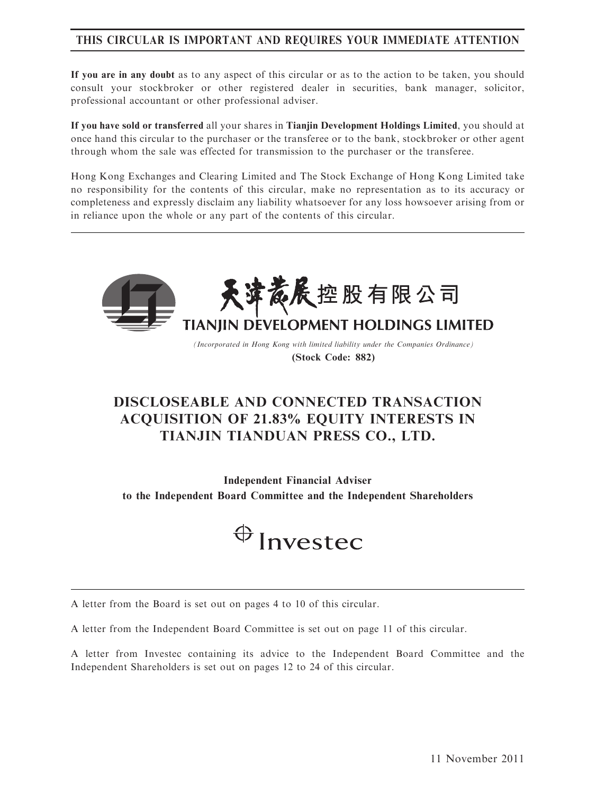## THIS CIRCULAR IS IMPORTANT AND REQUIRES YOUR IMMEDIATE ATTENTION

If you are in any doubt as to any aspect of this circular or as to the action to be taken, you should consult your stockbroker or other registered dealer in securities, bank manager, solicitor, professional accountant or other professional adviser.

If you have sold or transferred all your shares in Tianjin Development Holdings Limited, you should at once hand this circular to the purchaser or the transferee or to the bank, stockbroker or other agent through whom the sale was effected for transmission to the purchaser or the transferee.

Hong Kong Exchanges and Clearing Limited and The Stock Exchange of Hong Kong Limited take no responsibility for the contents of this circular, make no representation as to its accuracy or completeness and expressly disclaim any liability whatsoever for any loss howsoever arising from or in reliance upon the whole or any part of the contents of this circular.



(Incorporated in Hong Kong with limited liability under the Companies Ordinance) (Stock Code: 882)

# DISCLOSEABLE AND CONNECTED TRANSACTION ACQUISITION OF 21.83% EQUITY INTERESTS IN TIANJIN TIANDUAN PRESS CO., LTD.

Independent Financial Adviser to the Independent Board Committee and the Independent Shareholders



A letter from the Board is set out on pages 4 to 10 of this circular.

A letter from the Independent Board Committee is set out on page 11 of this circular.

A letter from Investec containing its advice to the Independent Board Committee and the Independent Shareholders is set out on pages 12 to 24 of this circular.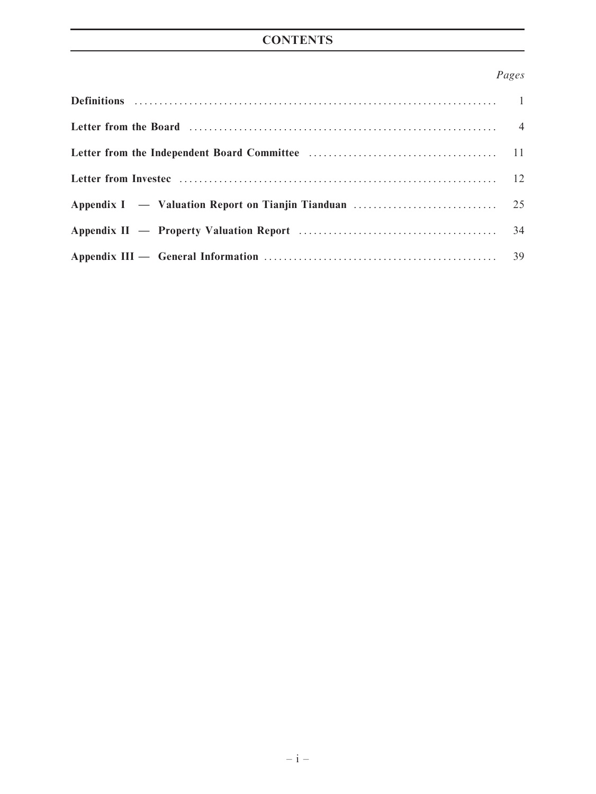## Pages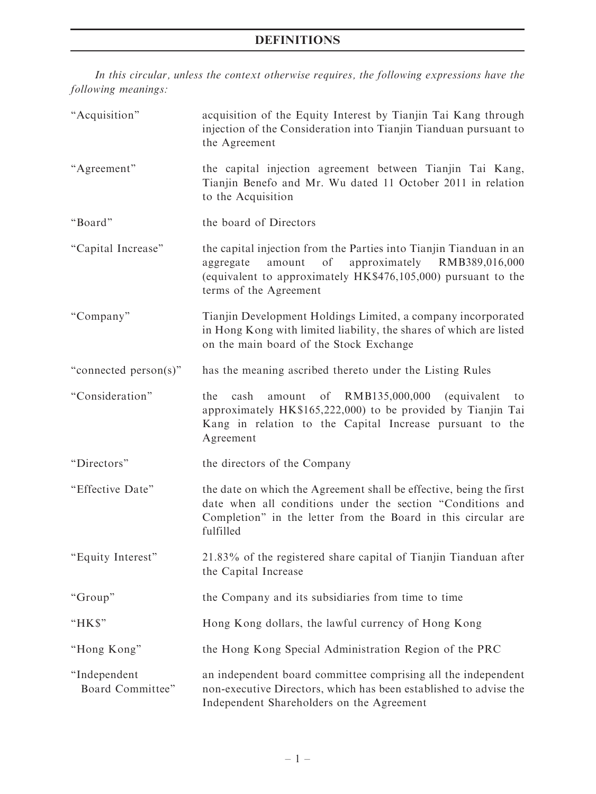# DEFINITIONS

In this circular, unless the context otherwise requires, the following expressions have the following meanings:

| "Acquisition"                    | acquisition of the Equity Interest by Tianjin Tai Kang through<br>injection of the Consideration into Tianjin Tianduan pursuant to<br>the Agreement                                                                        |
|----------------------------------|----------------------------------------------------------------------------------------------------------------------------------------------------------------------------------------------------------------------------|
| "Agreement"                      | the capital injection agreement between Tianjin Tai Kang,<br>Tianjin Benefo and Mr. Wu dated 11 October 2011 in relation<br>to the Acquisition                                                                             |
| "Board"                          | the board of Directors                                                                                                                                                                                                     |
| "Capital Increase"               | the capital injection from the Parties into Tianjin Tianduan in an<br>of<br>approximately RMB389,016,000<br>amount<br>aggregate<br>(equivalent to approximately HK\$476,105,000) pursuant to the<br>terms of the Agreement |
| "Company"                        | Tianjin Development Holdings Limited, a company incorporated<br>in Hong Kong with limited liability, the shares of which are listed<br>on the main board of the Stock Exchange                                             |
| "connected person(s)"            | has the meaning ascribed thereto under the Listing Rules                                                                                                                                                                   |
| "Consideration"                  | RMB135,000,000<br>of<br>(equivalent<br>the<br>cash<br>amount<br>to<br>approximately HK\$165,222,000) to be provided by Tianjin Tai<br>Kang in relation to the Capital Increase pursuant to the<br>Agreement                |
| "Directors"                      | the directors of the Company                                                                                                                                                                                               |
| "Effective Date"                 | the date on which the Agreement shall be effective, being the first<br>date when all conditions under the section "Conditions and<br>Completion" in the letter from the Board in this circular are<br>fulfilled            |
| "Equity Interest"                | 21.83% of the registered share capital of Tianjin Tianduan after<br>the Capital Increase                                                                                                                                   |
| "Group"                          | the Company and its subsidiaries from time to time                                                                                                                                                                         |
| "HK\$"                           | Hong Kong dollars, the lawful currency of Hong Kong                                                                                                                                                                        |
| "Hong Kong"                      | the Hong Kong Special Administration Region of the PRC                                                                                                                                                                     |
| "Independent<br>Board Committee" | an independent board committee comprising all the independent<br>non-executive Directors, which has been established to advise the<br>Independent Shareholders on the Agreement                                            |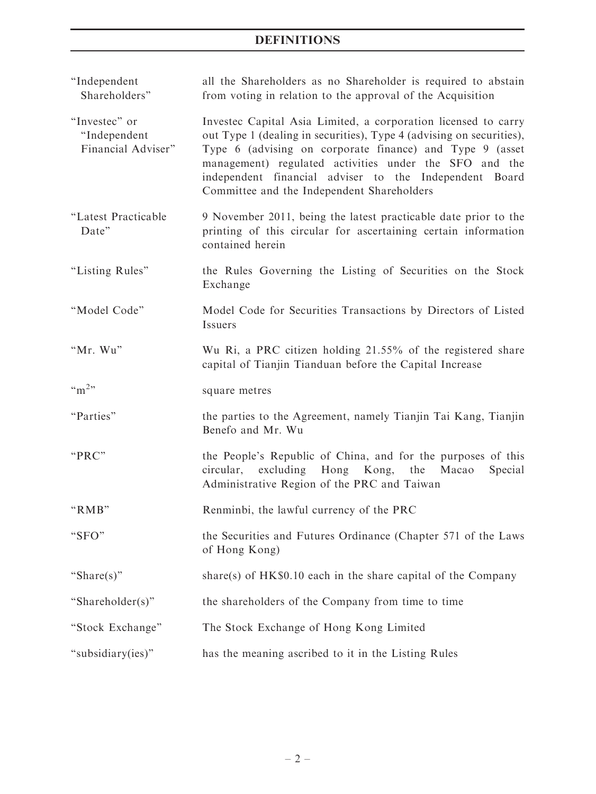# DEFINITIONS

| "Independent<br>Shareholders"                       | all the Shareholders as no Shareholder is required to abstain<br>from voting in relation to the approval of the Acquisition                                                                                                                                                                                                                                          |
|-----------------------------------------------------|----------------------------------------------------------------------------------------------------------------------------------------------------------------------------------------------------------------------------------------------------------------------------------------------------------------------------------------------------------------------|
| "Investec" or<br>"Independent<br>Financial Adviser" | Invested Capital Asia Limited, a corporation licensed to carry<br>out Type 1 (dealing in securities), Type 4 (advising on securities),<br>Type 6 (advising on corporate finance) and Type 9 (asset<br>management) regulated activities under the SFO and the<br>independent financial adviser to the Independent Board<br>Committee and the Independent Shareholders |
| "Latest Practicable<br>Date"                        | 9 November 2011, being the latest practicable date prior to the<br>printing of this circular for ascertaining certain information<br>contained herein                                                                                                                                                                                                                |
| "Listing Rules"                                     | the Rules Governing the Listing of Securities on the Stock<br>Exchange                                                                                                                                                                                                                                                                                               |
| "Model Code"                                        | Model Code for Securities Transactions by Directors of Listed<br>Issuers                                                                                                                                                                                                                                                                                             |
| "Mr. Wu"                                            | Wu Ri, a PRC citizen holding 21.55% of the registered share<br>capital of Tianjin Tianduan before the Capital Increase                                                                                                                                                                                                                                               |
| $\cdot \cdot m^2$                                   | square metres                                                                                                                                                                                                                                                                                                                                                        |
| "Parties"                                           | the parties to the Agreement, namely Tianjin Tai Kang, Tianjin<br>Benefo and Mr. Wu                                                                                                                                                                                                                                                                                  |
| "PRC"                                               | the People's Republic of China, and for the purposes of this<br>circular, excluding Hong Kong, the<br>Macao<br>Special<br>Administrative Region of the PRC and Taiwan                                                                                                                                                                                                |
| "RMB"                                               | Renminbi, the lawful currency of the PRC                                                                                                                                                                                                                                                                                                                             |
| "SFO"                                               | the Securities and Futures Ordinance (Chapter 571 of the Laws<br>of Hong Kong)                                                                                                                                                                                                                                                                                       |
| "Share(s)"                                          | share(s) of $HK\$0.10$ each in the share capital of the Company                                                                                                                                                                                                                                                                                                      |
| "Shareholder(s)"                                    | the shareholders of the Company from time to time                                                                                                                                                                                                                                                                                                                    |
| "Stock Exchange"                                    | The Stock Exchange of Hong Kong Limited                                                                                                                                                                                                                                                                                                                              |
| "subsidiary(ies)"                                   | has the meaning ascribed to it in the Listing Rules                                                                                                                                                                                                                                                                                                                  |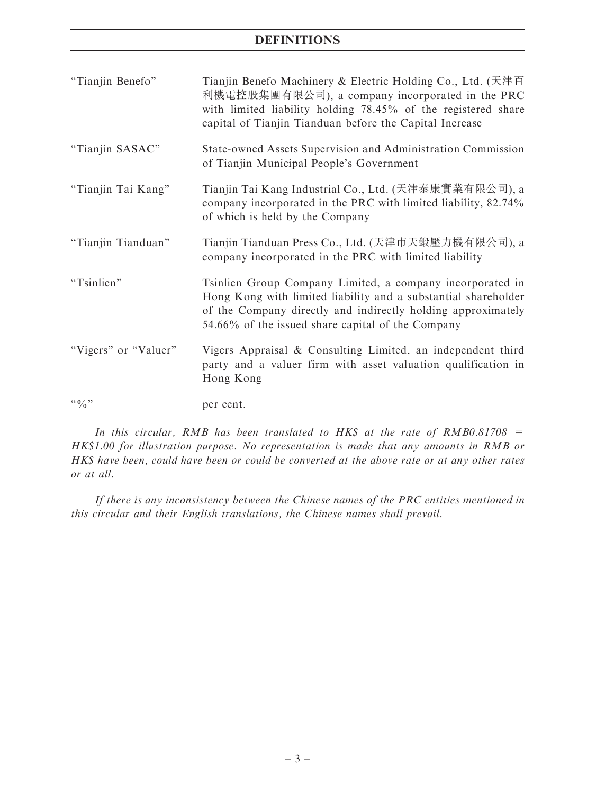## DEFINITIONS

| "Tianjin Benefo"      | Tianjin Benefo Machinery & Electric Holding Co., Ltd. (天津百<br>利機電控股集團有限公司), a company incorporated in the PRC<br>with limited liability holding 78.45% of the registered share<br>capital of Tianjin Tianduan before the Capital Increase        |
|-----------------------|--------------------------------------------------------------------------------------------------------------------------------------------------------------------------------------------------------------------------------------------------|
| "Tianjin SASAC"       | State-owned Assets Supervision and Administration Commission<br>of Tianjin Municipal People's Government                                                                                                                                         |
| "Tianjin Tai Kang"    | Tianjin Tai Kang Industrial Co., Ltd. (天津泰康實業有限公司), a<br>company incorporated in the PRC with limited liability, 82.74%<br>of which is held by the Company                                                                                       |
| "Tianjin Tianduan"    | Tianjin Tianduan Press Co., Ltd. (天津市天鍛壓力機有限公司), a<br>company incorporated in the PRC with limited liability                                                                                                                                     |
| "Tsinlien"            | Tsinlien Group Company Limited, a company incorporated in<br>Hong Kong with limited liability and a substantial shareholder<br>of the Company directly and indirectly holding approximately<br>54.66% of the issued share capital of the Company |
| "Vigers" or "Valuer"  | Vigers Appraisal & Consulting Limited, an independent third<br>party and a valuer firm with asset valuation qualification in<br>Hong Kong                                                                                                        |
| $\lq\lq 0$ , $\lq\lq$ | per cent.                                                                                                                                                                                                                                        |

In this circular, RMB has been translated to HK\$ at the rate of RMB0.81708 = HK\$1.00 for illustration purpose. No representation is made that any amounts in RMB or HK\$ have been, could have been or could be converted at the above rate or at any other rates or at all.

If there is any inconsistency between the Chinese names of the PRC entities mentioned in this circular and their English translations, the Chinese names shall prevail.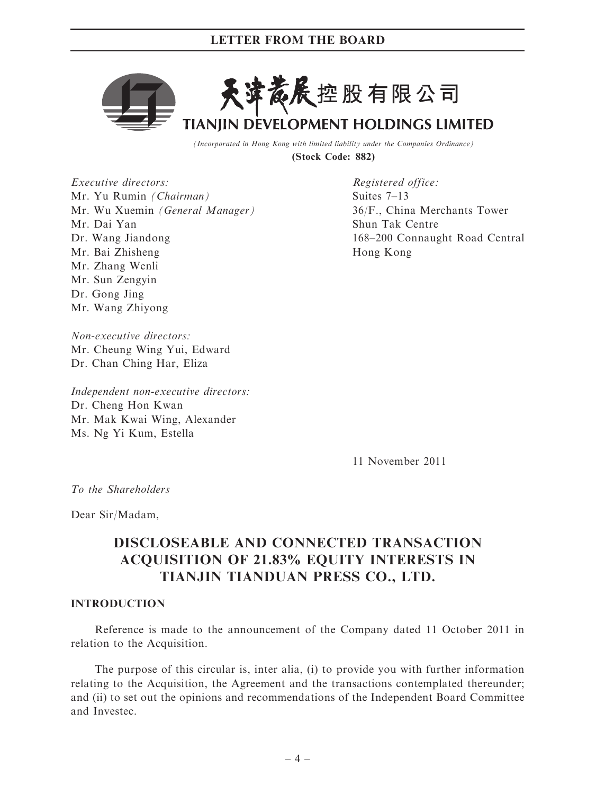

(Incorporated in Hong Kong with limited liability under the Companies Ordinance) (Stock Code: 882)

Executive directors: Mr. Yu Rumin (Chairman) Mr. Wu Xuemin (General Manager) Mr. Dai Yan Dr. Wang Jiandong Mr. Bai Zhisheng Mr. Zhang Wenli Mr. Sun Zengyin Dr. Gong Jing Mr. Wang Zhiyong

Registered office: Suites 7–13 36/F., China Merchants Tower Shun Tak Centre 168–200 Connaught Road Central Hong Kong

Non-executive directors: Mr. Cheung Wing Yui, Edward Dr. Chan Ching Har, Eliza

Independent non-executive directors: Dr. Cheng Hon Kwan Mr. Mak Kwai Wing, Alexander Ms. Ng Yi Kum, Estella

11 November 2011

To the Shareholders

Dear Sir/Madam,

# DISCLOSEABLE AND CONNECTED TRANSACTION ACQUISITION OF 21.83% EQUITY INTERESTS IN TIANJIN TIANDUAN PRESS CO., LTD.

#### INTRODUCTION

Reference is made to the announcement of the Company dated 11 October 2011 in relation to the Acquisition.

The purpose of this circular is, inter alia, (i) to provide you with further information relating to the Acquisition, the Agreement and the transactions contemplated thereunder; and (ii) to set out the opinions and recommendations of the Independent Board Committee and Investec.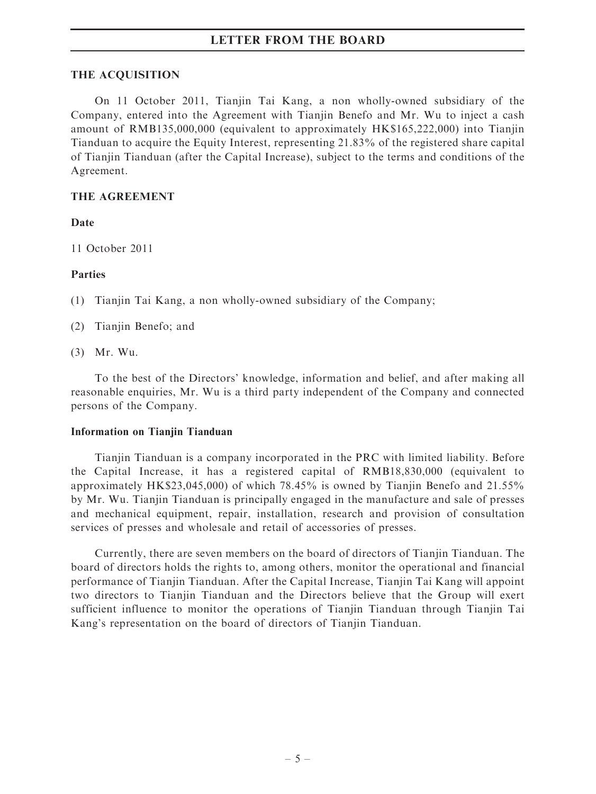#### THE ACQUISITION

On 11 October 2011, Tianjin Tai Kang, a non wholly-owned subsidiary of the Company, entered into the Agreement with Tianjin Benefo and Mr. Wu to inject a cash amount of RMB135,000,000 (equivalent to approximately HK\$165,222,000) into Tianjin Tianduan to acquire the Equity Interest, representing 21.83% of the registered share capital of Tianjin Tianduan (after the Capital Increase), subject to the terms and conditions of the Agreement.

#### THE AGREEMENT

### Date

11 October 2011

#### Parties

(1) Tianjin Tai Kang, a non wholly-owned subsidiary of the Company;

- (2) Tianjin Benefo; and
- (3) Mr. Wu.

To the best of the Directors' knowledge, information and belief, and after making all reasonable enquiries, Mr. Wu is a third party independent of the Company and connected persons of the Company.

### Information on Tianjin Tianduan

Tianjin Tianduan is a company incorporated in the PRC with limited liability. Before the Capital Increase, it has a registered capital of RMB18,830,000 (equivalent to approximately HK\$23,045,000) of which 78.45% is owned by Tianjin Benefo and 21.55% by Mr. Wu. Tianjin Tianduan is principally engaged in the manufacture and sale of presses and mechanical equipment, repair, installation, research and provision of consultation services of presses and wholesale and retail of accessories of presses.

Currently, there are seven members on the board of directors of Tianjin Tianduan. The board of directors holds the rights to, among others, monitor the operational and financial performance of Tianjin Tianduan. After the Capital Increase, Tianjin Tai Kang will appoint two directors to Tianjin Tianduan and the Directors believe that the Group will exert sufficient influence to monitor the operations of Tianjin Tianduan through Tianjin Tai Kang's representation on the board of directors of Tianjin Tianduan.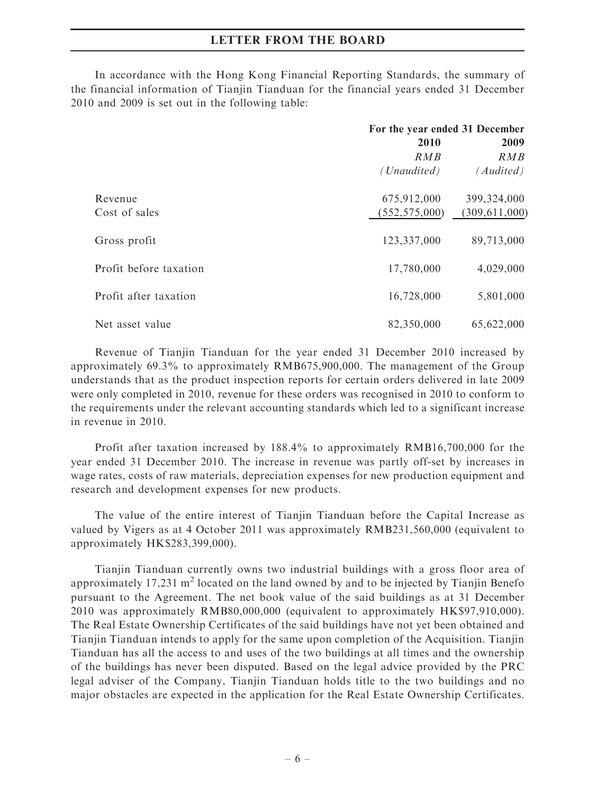In accordance with the Hong Kong Financial Reporting Standards, the summary of the financial information of Tianjin Tianduan for the financial years ended 31 December 2010 and 2009 is set out in the following table:

|                        | For the year ended 31 December |                 |
|------------------------|--------------------------------|-----------------|
|                        | 2009<br><b>2010</b>            |                 |
|                        | RMB                            | RMB             |
|                        | (Unaudited)                    | (Audited)       |
| Revenue                | 675,912,000                    | 399,324,000     |
| Cost of sales          | (552, 575, 000)                | (309, 611, 000) |
| Gross profit           | 123,337,000                    | 89,713,000      |
| Profit before taxation | 17,780,000                     | 4,029,000       |
| Profit after taxation  | 16,728,000                     | 5,801,000       |
| Net asset value        | 82,350,000                     | 65,622,000      |

Revenue of Tianjin Tianduan for the year ended 31 December 2010 increased by approximately 69.3% to approximately RMB675,900,000. The management of the Group understands that as the product inspection reports for certain orders delivered in late 2009 were only completed in 2010, revenue for these orders was recognised in 2010 to conform to the requirements under the relevant accounting standards which led to a significant increase in revenue in 2010.

Profit after taxation increased by 188.4% to approximately RMB16,700,000 for the year ended 31 December 2010. The increase in revenue was partly off-set by increases in wage rates, costs of raw materials, depreciation expenses for new production equipment and research and development expenses for new products.

The value of the entire interest of Tianjin Tianduan before the Capital Increase as valued by Vigers as at 4 October 2011 was approximately RMB231,560,000 (equivalent to approximately HK\$283,399,000).

Tianjin Tianduan currently owns two industrial buildings with a gross floor area of approximately 17,231  $m^2$  located on the land owned by and to be injected by Tianjin Benefo pursuant to the Agreement. The net book value of the said buildings as at 31 December 2010 was approximately RMB80,000,000 (equivalent to approximately HK\$97,910,000). The Real Estate Ownership Certificates of the said buildings have not yet been obtained and Tianjin Tianduan intends to apply for the same upon completion of the Acquisition. Tianjin Tianduan has all the access to and uses of the two buildings at all times and the ownership of the buildings has never been disputed. Based on the legal advice provided by the PRC legal adviser of the Company, Tianjin Tianduan holds title to the two buildings and no major obstacles are expected in the application for the Real Estate Ownership Certificates.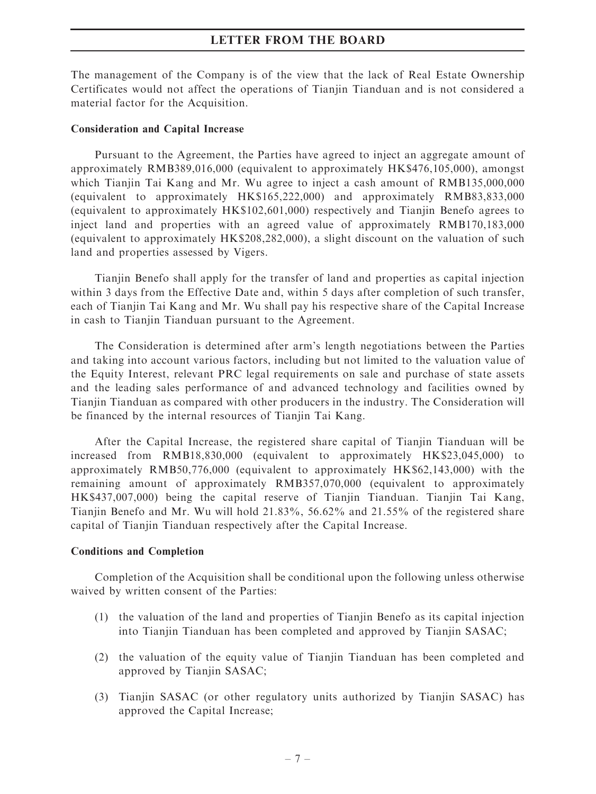The management of the Company is of the view that the lack of Real Estate Ownership Certificates would not affect the operations of Tianjin Tianduan and is not considered a material factor for the Acquisition.

#### Consideration and Capital Increase

Pursuant to the Agreement, the Parties have agreed to inject an aggregate amount of approximately RMB389,016,000 (equivalent to approximately HK\$476,105,000), amongst which Tianjin Tai Kang and Mr. Wu agree to inject a cash amount of RMB135,000,000 (equivalent to approximately HK\$165,222,000) and approximately RMB83,833,000 (equivalent to approximately HK\$102,601,000) respectively and Tianjin Benefo agrees to inject land and properties with an agreed value of approximately RMB170,183,000 (equivalent to approximately HK\$208,282,000), a slight discount on the valuation of such land and properties assessed by Vigers.

Tianjin Benefo shall apply for the transfer of land and properties as capital injection within 3 days from the Effective Date and, within 5 days after completion of such transfer, each of Tianjin Tai Kang and Mr. Wu shall pay his respective share of the Capital Increase in cash to Tianjin Tianduan pursuant to the Agreement.

The Consideration is determined after arm's length negotiations between the Parties and taking into account various factors, including but not limited to the valuation value of the Equity Interest, relevant PRC legal requirements on sale and purchase of state assets and the leading sales performance of and advanced technology and facilities owned by Tianjin Tianduan as compared with other producers in the industry. The Consideration will be financed by the internal resources of Tianjin Tai Kang.

After the Capital Increase, the registered share capital of Tianjin Tianduan will be increased from RMB18,830,000 (equivalent to approximately HK\$23,045,000) to approximately RMB50,776,000 (equivalent to approximately HK\$62,143,000) with the remaining amount of approximately RMB357,070,000 (equivalent to approximately HK\$437,007,000) being the capital reserve of Tianjin Tianduan. Tianjin Tai Kang, Tianjin Benefo and Mr. Wu will hold 21.83%, 56.62% and 21.55% of the registered share capital of Tianjin Tianduan respectively after the Capital Increase.

### Conditions and Completion

Completion of the Acquisition shall be conditional upon the following unless otherwise waived by written consent of the Parties:

- (1) the valuation of the land and properties of Tianjin Benefo as its capital injection into Tianjin Tianduan has been completed and approved by Tianjin SASAC;
- (2) the valuation of the equity value of Tianjin Tianduan has been completed and approved by Tianjin SASAC;
- (3) Tianjin SASAC (or other regulatory units authorized by Tianjin SASAC) has approved the Capital Increase;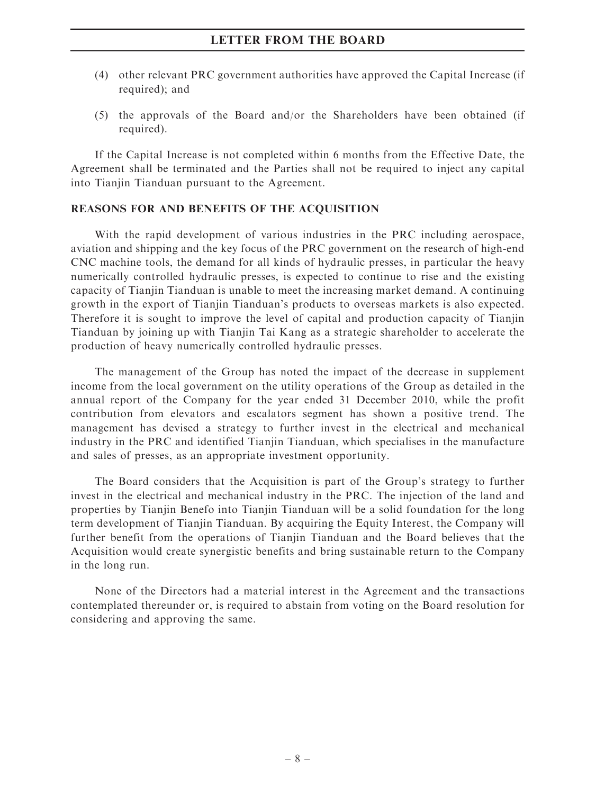- (4) other relevant PRC government authorities have approved the Capital Increase (if required); and
- (5) the approvals of the Board and/or the Shareholders have been obtained (if required).

If the Capital Increase is not completed within 6 months from the Effective Date, the Agreement shall be terminated and the Parties shall not be required to inject any capital into Tianjin Tianduan pursuant to the Agreement.

#### REASONS FOR AND BENEFITS OF THE ACQUISITION

With the rapid development of various industries in the PRC including aerospace, aviation and shipping and the key focus of the PRC government on the research of high-end CNC machine tools, the demand for all kinds of hydraulic presses, in particular the heavy numerically controlled hydraulic presses, is expected to continue to rise and the existing capacity of Tianjin Tianduan is unable to meet the increasing market demand. A continuing growth in the export of Tianjin Tianduan's products to overseas markets is also expected. Therefore it is sought to improve the level of capital and production capacity of Tianjin Tianduan by joining up with Tianjin Tai Kang as a strategic shareholder to accelerate the production of heavy numerically controlled hydraulic presses.

The management of the Group has noted the impact of the decrease in supplement income from the local government on the utility operations of the Group as detailed in the annual report of the Company for the year ended 31 December 2010, while the profit contribution from elevators and escalators segment has shown a positive trend. The management has devised a strategy to further invest in the electrical and mechanical industry in the PRC and identified Tianjin Tianduan, which specialises in the manufacture and sales of presses, as an appropriate investment opportunity.

The Board considers that the Acquisition is part of the Group's strategy to further invest in the electrical and mechanical industry in the PRC. The injection of the land and properties by Tianjin Benefo into Tianjin Tianduan will be a solid foundation for the long term development of Tianjin Tianduan. By acquiring the Equity Interest, the Company will further benefit from the operations of Tianjin Tianduan and the Board believes that the Acquisition would create synergistic benefits and bring sustainable return to the Company in the long run.

None of the Directors had a material interest in the Agreement and the transactions contemplated thereunder or, is required to abstain from voting on the Board resolution for considering and approving the same.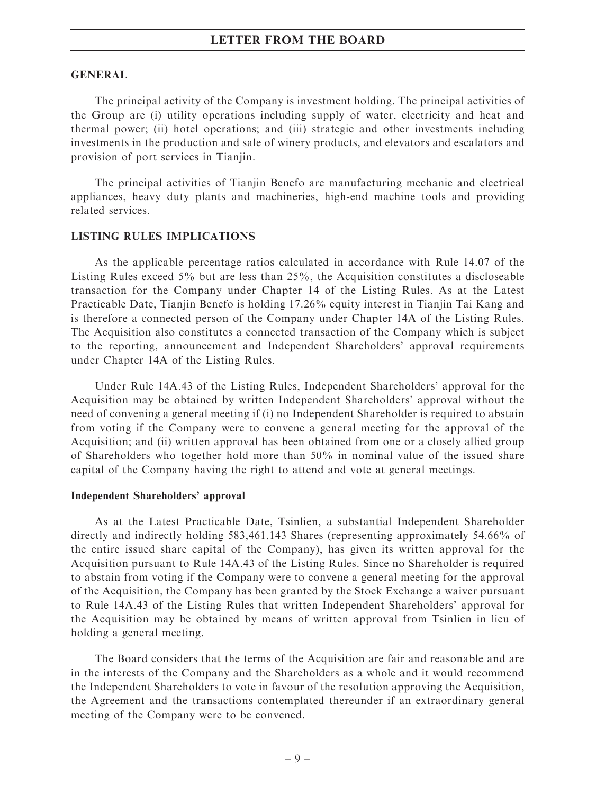#### GENERAL

The principal activity of the Company is investment holding. The principal activities of the Group are (i) utility operations including supply of water, electricity and heat and thermal power; (ii) hotel operations; and (iii) strategic and other investments including investments in the production and sale of winery products, and elevators and escalators and provision of port services in Tianjin.

The principal activities of Tianjin Benefo are manufacturing mechanic and electrical appliances, heavy duty plants and machineries, high-end machine tools and providing related services.

#### LISTING RULES IMPLICATIONS

As the applicable percentage ratios calculated in accordance with Rule 14.07 of the Listing Rules exceed 5% but are less than 25%, the Acquisition constitutes a discloseable transaction for the Company under Chapter 14 of the Listing Rules. As at the Latest Practicable Date, Tianjin Benefo is holding 17.26% equity interest in Tianjin Tai Kang and is therefore a connected person of the Company under Chapter 14A of the Listing Rules. The Acquisition also constitutes a connected transaction of the Company which is subject to the reporting, announcement and Independent Shareholders' approval requirements under Chapter 14A of the Listing Rules.

Under Rule 14A.43 of the Listing Rules, Independent Shareholders' approval for the Acquisition may be obtained by written Independent Shareholders' approval without the need of convening a general meeting if (i) no Independent Shareholder is required to abstain from voting if the Company were to convene a general meeting for the approval of the Acquisition; and (ii) written approval has been obtained from one or a closely allied group of Shareholders who together hold more than 50% in nominal value of the issued share capital of the Company having the right to attend and vote at general meetings.

#### Independent Shareholders' approval

As at the Latest Practicable Date, Tsinlien, a substantial Independent Shareholder directly and indirectly holding 583,461,143 Shares (representing approximately 54.66% of the entire issued share capital of the Company), has given its written approval for the Acquisition pursuant to Rule 14A.43 of the Listing Rules. Since no Shareholder is required to abstain from voting if the Company were to convene a general meeting for the approval of the Acquisition, the Company has been granted by the Stock Exchange a waiver pursuant to Rule 14A.43 of the Listing Rules that written Independent Shareholders' approval for the Acquisition may be obtained by means of written approval from Tsinlien in lieu of holding a general meeting.

The Board considers that the terms of the Acquisition are fair and reasonable and are in the interests of the Company and the Shareholders as a whole and it would recommend the Independent Shareholders to vote in favour of the resolution approving the Acquisition, the Agreement and the transactions contemplated thereunder if an extraordinary general meeting of the Company were to be convened.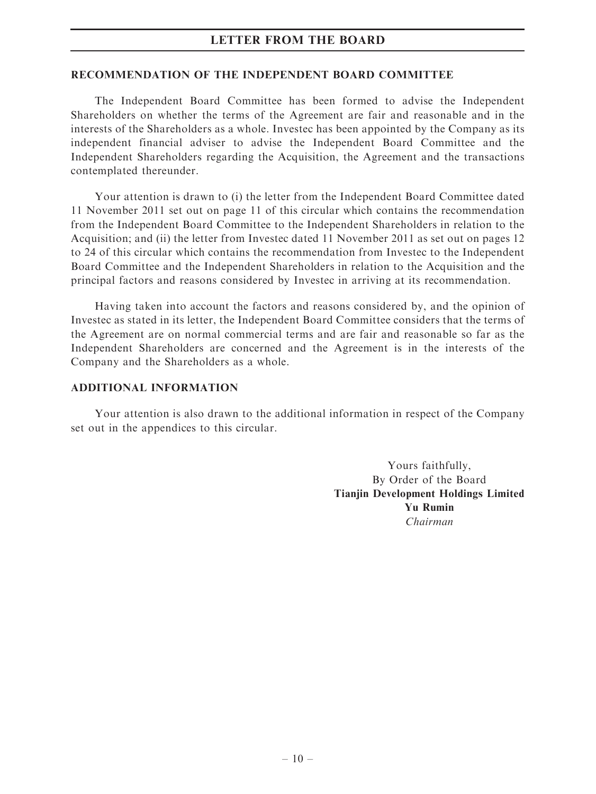#### RECOMMENDATION OF THE INDEPENDENT BOARD COMMITTEE

The Independent Board Committee has been formed to advise the Independent Shareholders on whether the terms of the Agreement are fair and reasonable and in the interests of the Shareholders as a whole. Investec has been appointed by the Company as its independent financial adviser to advise the Independent Board Committee and the Independent Shareholders regarding the Acquisition, the Agreement and the transactions contemplated thereunder.

Your attention is drawn to (i) the letter from the Independent Board Committee dated 11 November 2011 set out on page 11 of this circular which contains the recommendation from the Independent Board Committee to the Independent Shareholders in relation to the Acquisition; and (ii) the letter from Investec dated 11 November 2011 as set out on pages 12 to 24 of this circular which contains the recommendation from Investec to the Independent Board Committee and the Independent Shareholders in relation to the Acquisition and the principal factors and reasons considered by Investec in arriving at its recommendation.

Having taken into account the factors and reasons considered by, and the opinion of Investec as stated in its letter, the Independent Board Committee considers that the terms of the Agreement are on normal commercial terms and are fair and reasonable so far as the Independent Shareholders are concerned and the Agreement is in the interests of the Company and the Shareholders as a whole.

### ADDITIONAL INFORMATION

Your attention is also drawn to the additional information in respect of the Company set out in the appendices to this circular.

> Yours faithfully, By Order of the Board Tianjin Development Holdings Limited Yu Rumin Chairman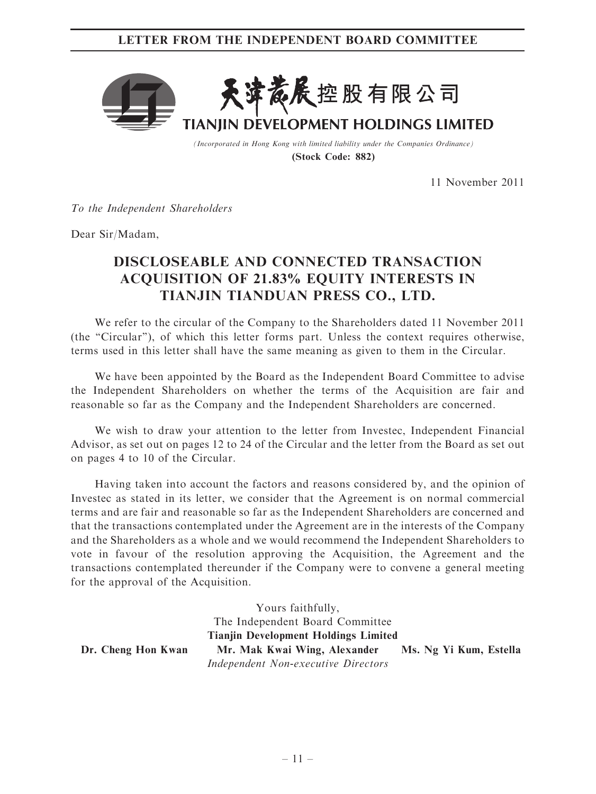## LETTER FROM THE INDEPENDENT BOARD COMMITTEE



(Incorporated in Hong Kong with limited liability under the Companies Ordinance) (Stock Code: 882)

11 November 2011

To the Independent Shareholders

Dear Sir/Madam,

# DISCLOSEABLE AND CONNECTED TRANSACTION ACQUISITION OF 21.83% EQUITY INTERESTS IN TIANJIN TIANDUAN PRESS CO., LTD.

We refer to the circular of the Company to the Shareholders dated 11 November 2011 (the "Circular"), of which this letter forms part. Unless the context requires otherwise, terms used in this letter shall have the same meaning as given to them in the Circular.

We have been appointed by the Board as the Independent Board Committee to advise the Independent Shareholders on whether the terms of the Acquisition are fair and reasonable so far as the Company and the Independent Shareholders are concerned.

We wish to draw your attention to the letter from Investec, Independent Financial Advisor, as set out on pages 12 to 24 of the Circular and the letter from the Board as set out on pages 4 to 10 of the Circular.

Having taken into account the factors and reasons considered by, and the opinion of Investec as stated in its letter, we consider that the Agreement is on normal commercial terms and are fair and reasonable so far as the Independent Shareholders are concerned and that the transactions contemplated under the Agreement are in the interests of the Company and the Shareholders as a whole and we would recommend the Independent Shareholders to vote in favour of the resolution approving the Acquisition, the Agreement and the transactions contemplated thereunder if the Company were to convene a general meeting for the approval of the Acquisition.

Yours faithfully, The Independent Board Committee Tianjin Development Holdings Limited Dr. Cheng Hon Kwan Mr. Mak Kwai Wing, Alexander Ms. Ng Yi Kum, Estella Independent Non-executive Directors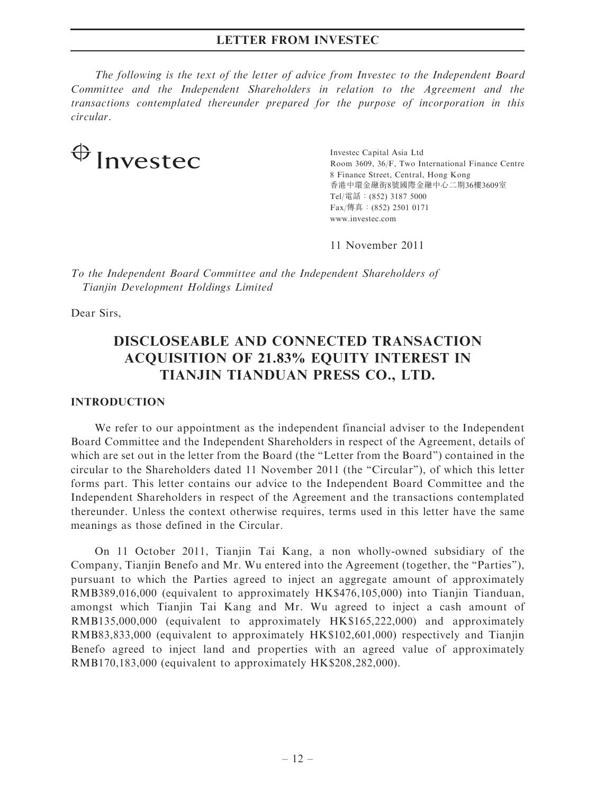The following is the text of the letter of advice from Investec to the Independent Board Committee and the Independent Shareholders in relation to the Agreement and the transactions contemplated thereunder prepared for the purpose of incorporation in this circular.



Investec Capital Asia Ltd Room 3609, 36/F, Two International Finance Centre 8 Finance Street, Central, Hong Kong 香港中環金融街8號國際金融中心二期36樓3609室 Tel/電話:(852) 3187 5000 Fax/傳真:(852) 2501 0171 www.investec.com

11 November 2011

To the Independent Board Committee and the Independent Shareholders of Tianjin Development Holdings Limited

Dear Sirs,

# DISCLOSEABLE AND CONNECTED TRANSACTION ACQUISITION OF 21.83% EQUITY INTEREST IN TIANJIN TIANDUAN PRESS CO., LTD.

## INTRODUCTION

We refer to our appointment as the independent financial adviser to the Independent Board Committee and the Independent Shareholders in respect of the Agreement, details of which are set out in the letter from the Board (the "Letter from the Board") contained in the circular to the Shareholders dated 11 November 2011 (the ''Circular''), of which this letter forms part. This letter contains our advice to the Independent Board Committee and the Independent Shareholders in respect of the Agreement and the transactions contemplated thereunder. Unless the context otherwise requires, terms used in this letter have the same meanings as those defined in the Circular.

On 11 October 2011, Tianjin Tai Kang, a non wholly-owned subsidiary of the Company, Tianjin Benefo and Mr. Wu entered into the Agreement (together, the "Parties"), pursuant to which the Parties agreed to inject an aggregate amount of approximately RMB389,016,000 (equivalent to approximately HK\$476,105,000) into Tianjin Tianduan, amongst which Tianjin Tai Kang and Mr. Wu agreed to inject a cash amount of RMB135,000,000 (equivalent to approximately HK\$165,222,000) and approximately RMB83,833,000 (equivalent to approximately HK\$102,601,000) respectively and Tianjin Benefo agreed to inject land and properties with an agreed value of approximately RMB170,183,000 (equivalent to approximately HK\$208,282,000).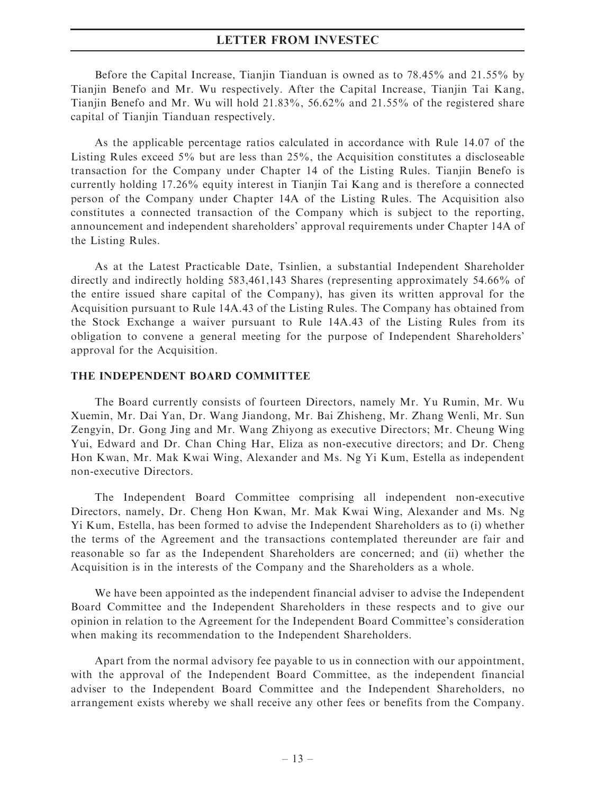Before the Capital Increase, Tianjin Tianduan is owned as to 78.45% and 21.55% by Tianjin Benefo and Mr. Wu respectively. After the Capital Increase, Tianjin Tai Kang, Tianiin Benefo and Mr. Wu will hold  $21.83\%$ , 56.62% and  $21.55\%$  of the registered share capital of Tianjin Tianduan respectively.

As the applicable percentage ratios calculated in accordance with Rule 14.07 of the Listing Rules exceed 5% but are less than 25%, the Acquisition constitutes a discloseable transaction for the Company under Chapter 14 of the Listing Rules. Tianjin Benefo is currently holding 17.26% equity interest in Tianjin Tai Kang and is therefore a connected person of the Company under Chapter 14A of the Listing Rules. The Acquisition also constitutes a connected transaction of the Company which is subject to the reporting, announcement and independent shareholders' approval requirements under Chapter 14A of the Listing Rules.

As at the Latest Practicable Date, Tsinlien, a substantial Independent Shareholder directly and indirectly holding 583,461,143 Shares (representing approximately 54.66% of the entire issued share capital of the Company), has given its written approval for the Acquisition pursuant to Rule 14A.43 of the Listing Rules. The Company has obtained from the Stock Exchange a waiver pursuant to Rule 14A.43 of the Listing Rules from its obligation to convene a general meeting for the purpose of Independent Shareholders' approval for the Acquisition.

#### THE INDEPENDENT BOARD COMMITTEE

The Board currently consists of fourteen Directors, namely Mr. Yu Rumin, Mr. Wu Xuemin, Mr. Dai Yan, Dr. Wang Jiandong, Mr. Bai Zhisheng, Mr. Zhang Wenli, Mr. Sun Zengyin, Dr. Gong Jing and Mr. Wang Zhiyong as executive Directors; Mr. Cheung Wing Yui, Edward and Dr. Chan Ching Har, Eliza as non-executive directors; and Dr. Cheng Hon Kwan, Mr. Mak Kwai Wing, Alexander and Ms. Ng Yi Kum, Estella as independent non-executive Directors.

The Independent Board Committee comprising all independent non-executive Directors, namely, Dr. Cheng Hon Kwan, Mr. Mak Kwai Wing, Alexander and Ms. Ng Yi Kum, Estella, has been formed to advise the Independent Shareholders as to (i) whether the terms of the Agreement and the transactions contemplated thereunder are fair and reasonable so far as the Independent Shareholders are concerned; and (ii) whether the Acquisition is in the interests of the Company and the Shareholders as a whole.

We have been appointed as the independent financial adviser to advise the Independent Board Committee and the Independent Shareholders in these respects and to give our opinion in relation to the Agreement for the Independent Board Committee's consideration when making its recommendation to the Independent Shareholders.

Apart from the normal advisory fee payable to us in connection with our appointment, with the approval of the Independent Board Committee, as the independent financial adviser to the Independent Board Committee and the Independent Shareholders, no arrangement exists whereby we shall receive any other fees or benefits from the Company.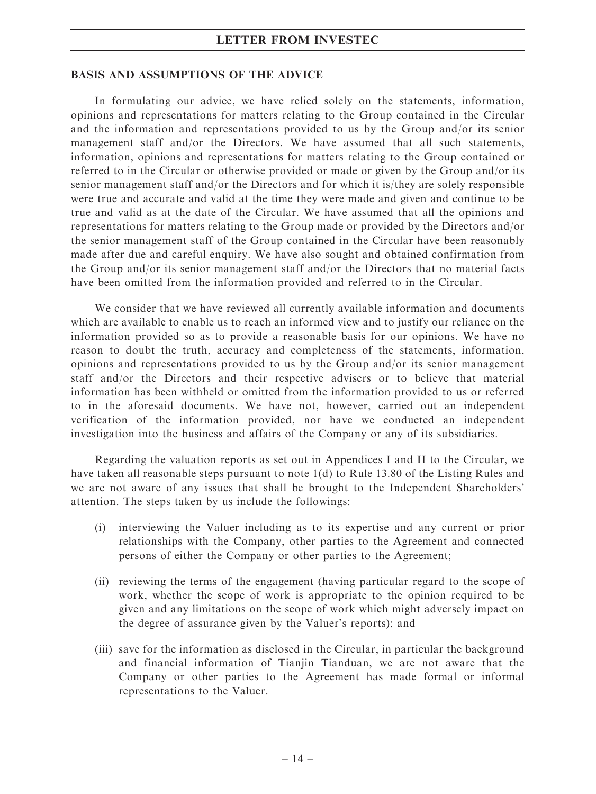#### BASIS AND ASSUMPTIONS OF THE ADVICE

In formulating our advice, we have relied solely on the statements, information, opinions and representations for matters relating to the Group contained in the Circular and the information and representations provided to us by the Group and/or its senior management staff and/or the Directors. We have assumed that all such statements, information, opinions and representations for matters relating to the Group contained or referred to in the Circular or otherwise provided or made or given by the Group and/or its senior management staff and/or the Directors and for which it is/they are solely responsible were true and accurate and valid at the time they were made and given and continue to be true and valid as at the date of the Circular. We have assumed that all the opinions and representations for matters relating to the Group made or provided by the Directors and/or the senior management staff of the Group contained in the Circular have been reasonably made after due and careful enquiry. We have also sought and obtained confirmation from the Group and/or its senior management staff and/or the Directors that no material facts have been omitted from the information provided and referred to in the Circular.

We consider that we have reviewed all currently available information and documents which are available to enable us to reach an informed view and to justify our reliance on the information provided so as to provide a reasonable basis for our opinions. We have no reason to doubt the truth, accuracy and completeness of the statements, information, opinions and representations provided to us by the Group and/or its senior management staff and/or the Directors and their respective advisers or to believe that material information has been withheld or omitted from the information provided to us or referred to in the aforesaid documents. We have not, however, carried out an independent verification of the information provided, nor have we conducted an independent investigation into the business and affairs of the Company or any of its subsidiaries.

Regarding the valuation reports as set out in Appendices I and II to the Circular, we have taken all reasonable steps pursuant to note 1(d) to Rule 13.80 of the Listing Rules and we are not aware of any issues that shall be brought to the Independent Shareholders' attention. The steps taken by us include the followings:

- (i) interviewing the Valuer including as to its expertise and any current or prior relationships with the Company, other parties to the Agreement and connected persons of either the Company or other parties to the Agreement;
- (ii) reviewing the terms of the engagement (having particular regard to the scope of work, whether the scope of work is appropriate to the opinion required to be given and any limitations on the scope of work which might adversely impact on the degree of assurance given by the Valuer's reports); and
- (iii) save for the information as disclosed in the Circular, in particular the background and financial information of Tianjin Tianduan, we are not aware that the Company or other parties to the Agreement has made formal or informal representations to the Valuer.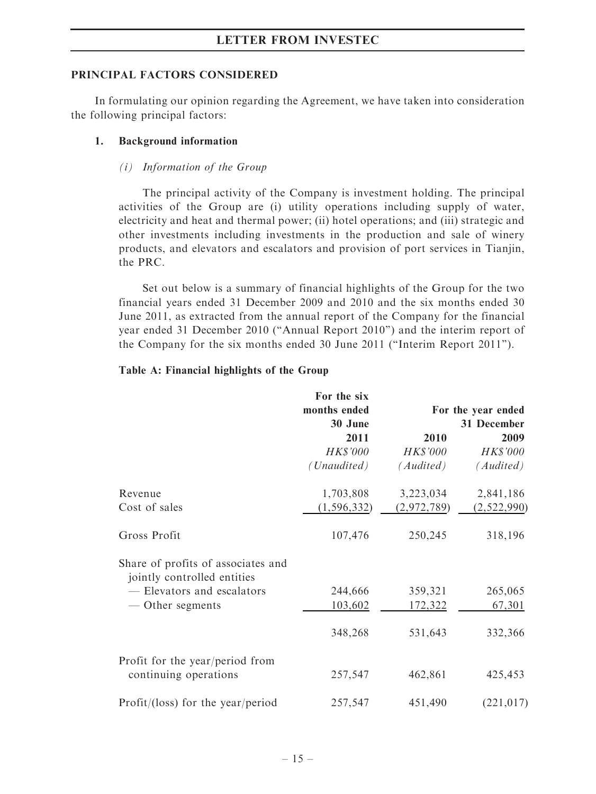## PRINCIPAL FACTORS CONSIDERED

In formulating our opinion regarding the Agreement, we have taken into consideration the following principal factors:

## 1. Background information

## (i) Information of the Group

The principal activity of the Company is investment holding. The principal activities of the Group are (i) utility operations including supply of water, electricity and heat and thermal power; (ii) hotel operations; and (iii) strategic and other investments including investments in the production and sale of winery products, and elevators and escalators and provision of port services in Tianjin, the PRC.

Set out below is a summary of financial highlights of the Group for the two financial years ended 31 December 2009 and 2010 and the six months ended 30 June 2011, as extracted from the annual report of the Company for the financial year ended 31 December 2010 (''Annual Report 2010'') and the interim report of the Company for the six months ended 30 June 2011 (''Interim Report 2011'').

|                                                                   | For the six     |                                   |                 |
|-------------------------------------------------------------------|-----------------|-----------------------------------|-----------------|
|                                                                   | months ended    | For the year ended<br>31 December |                 |
|                                                                   | 30 June         |                                   |                 |
|                                                                   | 2011            | 2010                              | 2009            |
|                                                                   | <b>HK\$'000</b> | <b>HK\$'000</b>                   | <b>HK\$'000</b> |
|                                                                   | (Unaudited)     | (Audited)                         | (Audited)       |
| Revenue                                                           | 1,703,808       | 3,223,034                         | 2,841,186       |
| Cost of sales                                                     | (1, 596, 332)   | (2,972,789)                       | (2,522,990)     |
| Gross Profit                                                      | 107,476         | 250,245                           | 318,196         |
| Share of profits of associates and<br>jointly controlled entities |                 |                                   |                 |
| - Elevators and escalators                                        | 244,666         | 359,321                           | 265,065         |
| — Other segments                                                  | 103,602         | 172,322                           | 67,301          |
|                                                                   | 348,268         | 531,643                           | 332,366         |
| Profit for the year/period from<br>continuing operations          | 257,547         | 462,861                           | 425,453         |
| Profit/(loss) for the year/period                                 | 257,547         | 451,490                           | (221, 017)      |

## Table A: Financial highlights of the Group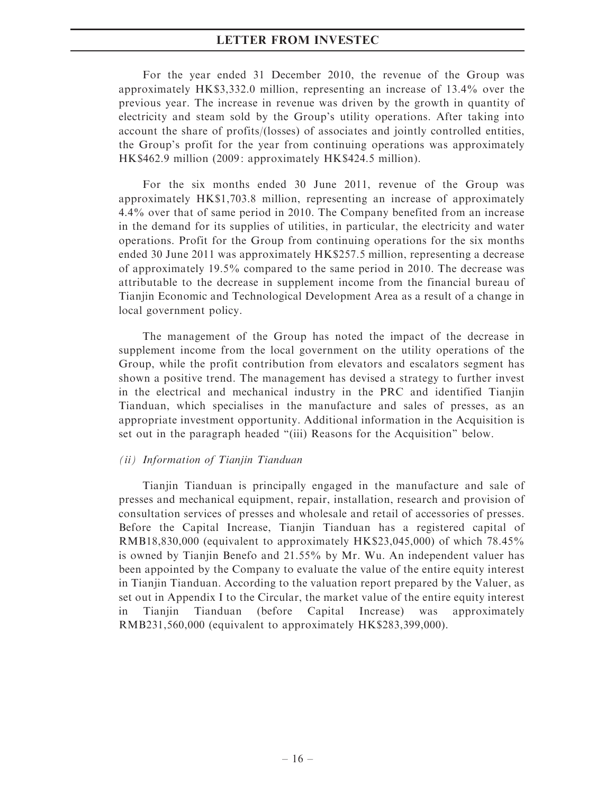For the year ended 31 December 2010, the revenue of the Group was approximately HK\$3,332.0 million, representing an increase of 13.4% over the previous year. The increase in revenue was driven by the growth in quantity of electricity and steam sold by the Group's utility operations. After taking into account the share of profits/(losses) of associates and jointly controlled entities, the Group's profit for the year from continuing operations was approximately HK\$462.9 million (2009: approximately HK\$424.5 million).

For the six months ended 30 June 2011, revenue of the Group was approximately HK\$1,703.8 million, representing an increase of approximately 4.4% over that of same period in 2010. The Company benefited from an increase in the demand for its supplies of utilities, in particular, the electricity and water operations. Profit for the Group from continuing operations for the six months ended 30 June 2011 was approximately HK\$257.5 million, representing a decrease of approximately 19.5% compared to the same period in 2010. The decrease was attributable to the decrease in supplement income from the financial bureau of Tianjin Economic and Technological Development Area as a result of a change in local government policy.

The management of the Group has noted the impact of the decrease in supplement income from the local government on the utility operations of the Group, while the profit contribution from elevators and escalators segment has shown a positive trend. The management has devised a strategy to further invest in the electrical and mechanical industry in the PRC and identified Tianjin Tianduan, which specialises in the manufacture and sales of presses, as an appropriate investment opportunity. Additional information in the Acquisition is set out in the paragraph headed ''(iii) Reasons for the Acquisition'' below.

### (ii) Information of Tianjin Tianduan

Tianjin Tianduan is principally engaged in the manufacture and sale of presses and mechanical equipment, repair, installation, research and provision of consultation services of presses and wholesale and retail of accessories of presses. Before the Capital Increase, Tianjin Tianduan has a registered capital of RMB18,830,000 (equivalent to approximately HK\$23,045,000) of which 78.45% is owned by Tianjin Benefo and 21.55% by Mr. Wu. An independent valuer has been appointed by the Company to evaluate the value of the entire equity interest in Tianjin Tianduan. According to the valuation report prepared by the Valuer, as set out in Appendix I to the Circular, the market value of the entire equity interest in Tianjin Tianduan (before Capital Increase) was approximately RMB231,560,000 (equivalent to approximately HK\$283,399,000).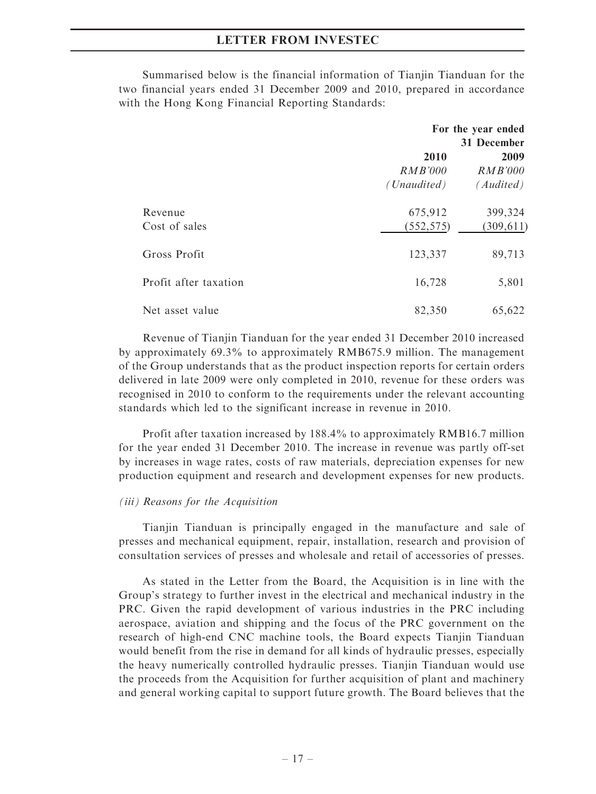Summarised below is the financial information of Tianjin Tianduan for the two financial years ended 31 December 2009 and 2010, prepared in accordance with the Hong Kong Financial Reporting Standards:

|                          | For the year ended<br>31 December |                                     |
|--------------------------|-----------------------------------|-------------------------------------|
|                          | 2010<br>RMB'000<br>(Unaudited)    | 2009<br><b>RMB'000</b><br>(Audited) |
| Revenue<br>Cost of sales | 675,912<br>(552, 575)             | 399,324<br>(309, 611)               |
| Gross Profit             | 123,337                           | 89,713                              |
| Profit after taxation    | 16,728                            | 5,801                               |
| Net asset value          | 82,350                            | 65,622                              |

Revenue of Tianjin Tianduan for the year ended 31 December 2010 increased by approximately 69.3% to approximately RMB675.9 million. The management of the Group understands that as the product inspection reports for certain orders delivered in late 2009 were only completed in 2010, revenue for these orders was recognised in 2010 to conform to the requirements under the relevant accounting standards which led to the significant increase in revenue in 2010.

Profit after taxation increased by 188.4% to approximately RMB16.7 million for the year ended 31 December 2010. The increase in revenue was partly off-set by increases in wage rates, costs of raw materials, depreciation expenses for new production equipment and research and development expenses for new products.

#### (iii) Reasons for the Acquisition

Tianjin Tianduan is principally engaged in the manufacture and sale of presses and mechanical equipment, repair, installation, research and provision of consultation services of presses and wholesale and retail of accessories of presses.

As stated in the Letter from the Board, the Acquisition is in line with the Group's strategy to further invest in the electrical and mechanical industry in the PRC. Given the rapid development of various industries in the PRC including aerospace, aviation and shipping and the focus of the PRC government on the research of high-end CNC machine tools, the Board expects Tianjin Tianduan would benefit from the rise in demand for all kinds of hydraulic presses, especially the heavy numerically controlled hydraulic presses. Tianjin Tianduan would use the proceeds from the Acquisition for further acquisition of plant and machinery and general working capital to support future growth. The Board believes that the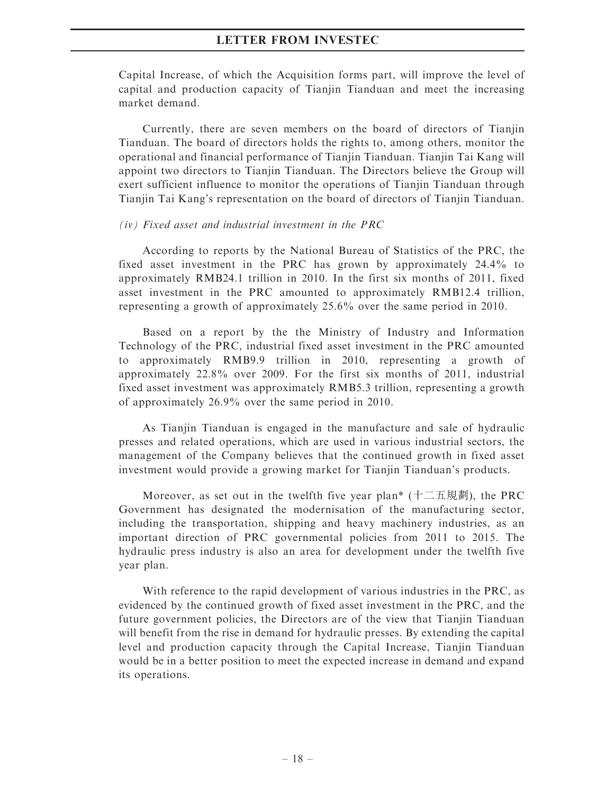Capital Increase, of which the Acquisition forms part, will improve the level of capital and production capacity of Tianjin Tianduan and meet the increasing market demand.

Currently, there are seven members on the board of directors of Tianjin Tianduan. The board of directors holds the rights to, among others, monitor the operational and financial performance of Tianjin Tianduan. Tianjin Tai Kang will appoint two directors to Tianjin Tianduan. The Directors believe the Group will exert sufficient influence to monitor the operations of Tianjin Tianduan through Tianjin Tai Kang's representation on the board of directors of Tianjin Tianduan.

#### $(iv)$  Fixed asset and industrial investment in the PRC

According to reports by the National Bureau of Statistics of the PRC, the fixed asset investment in the PRC has grown by approximately 24.4% to approximately RMB24.1 trillion in 2010. In the first six months of 2011, fixed asset investment in the PRC amounted to approximately RMB12.4 trillion, representing a growth of approximately 25.6% over the same period in 2010.

Based on a report by the the Ministry of Industry and Information Technology of the PRC, industrial fixed asset investment in the PRC amounted to approximately RMB9.9 trillion in 2010, representing a growth of approximately 22.8% over 2009. For the first six months of 2011, industrial fixed asset investment was approximately RMB5.3 trillion, representing a growth of approximately 26.9% over the same period in 2010.

As Tianjin Tianduan is engaged in the manufacture and sale of hydraulic presses and related operations, which are used in various industrial sectors, the management of the Company believes that the continued growth in fixed asset investment would provide a growing market for Tianjin Tianduan's products.

Moreover, as set out in the twelfth five year plan<sup>\*</sup> (十二五規劃), the PRC Government has designated the modernisation of the manufacturing sector, including the transportation, shipping and heavy machinery industries, as an important direction of PRC governmental policies from 2011 to 2015. The hydraulic press industry is also an area for development under the twelfth five year plan.

With reference to the rapid development of various industries in the PRC, as evidenced by the continued growth of fixed asset investment in the PRC, and the future government policies, the Directors are of the view that Tianjin Tianduan will benefit from the rise in demand for hydraulic presses. By extending the capital level and production capacity through the Capital Increase, Tianjin Tianduan would be in a better position to meet the expected increase in demand and expand its operations.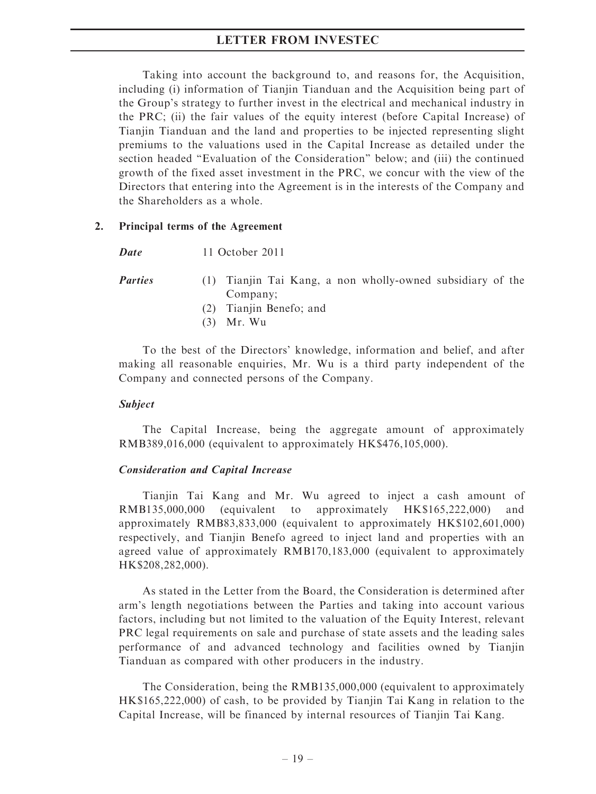Taking into account the background to, and reasons for, the Acquisition, including (i) information of Tianjin Tianduan and the Acquisition being part of the Group's strategy to further invest in the electrical and mechanical industry in the PRC; (ii) the fair values of the equity interest (before Capital Increase) of Tianjin Tianduan and the land and properties to be injected representing slight premiums to the valuations used in the Capital Increase as detailed under the section headed ''Evaluation of the Consideration'' below; and (iii) the continued growth of the fixed asset investment in the PRC, we concur with the view of the Directors that entering into the Agreement is in the interests of the Company and the Shareholders as a whole.

#### 2. Principal terms of the Agreement

Date 11 October 2011

- **Parties** (1) Tianjin Tai Kang, a non wholly-owned subsidiary of the Company;
	- (2) Tianjin Benefo; and
	- (3) Mr. Wu

To the best of the Directors' knowledge, information and belief, and after making all reasonable enquiries, Mr. Wu is a third party independent of the Company and connected persons of the Company.

### Subject

The Capital Increase, being the aggregate amount of approximately RMB389,016,000 (equivalent to approximately HK\$476,105,000).

### Consideration and Capital Increase

Tianjin Tai Kang and Mr. Wu agreed to inject a cash amount of RMB135,000,000 (equivalent to approximately HK\$165,222,000) and approximately RMB83,833,000 (equivalent to approximately HK\$102,601,000) respectively, and Tianjin Benefo agreed to inject land and properties with an agreed value of approximately RMB170,183,000 (equivalent to approximately HK\$208,282,000).

As stated in the Letter from the Board, the Consideration is determined after arm's length negotiations between the Parties and taking into account various factors, including but not limited to the valuation of the Equity Interest, relevant PRC legal requirements on sale and purchase of state assets and the leading sales performance of and advanced technology and facilities owned by Tianjin Tianduan as compared with other producers in the industry.

The Consideration, being the RMB135,000,000 (equivalent to approximately HK\$165,222,000) of cash, to be provided by Tianjin Tai Kang in relation to the Capital Increase, will be financed by internal resources of Tianjin Tai Kang.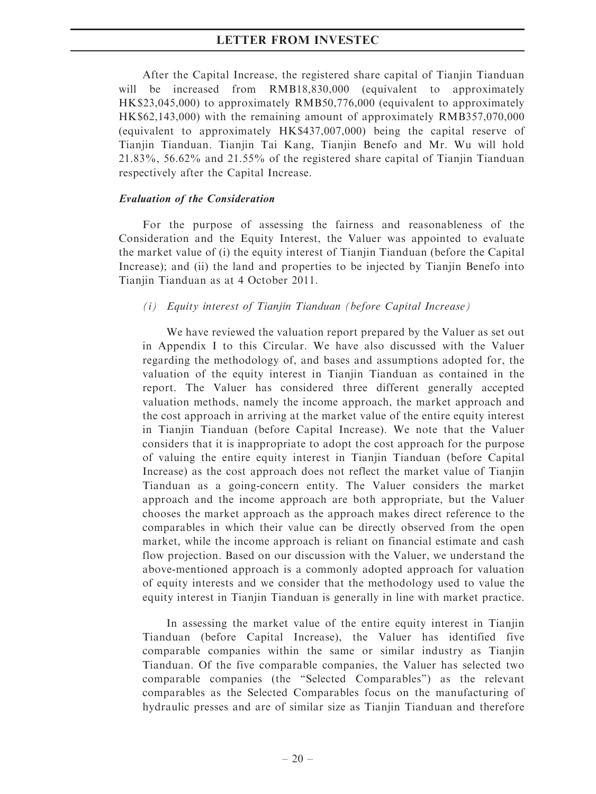After the Capital Increase, the registered share capital of Tianjin Tianduan will be increased from RMB18,830,000 (equivalent to approximately HK\$23,045,000) to approximately RMB50,776,000 (equivalent to approximately HK\$62,143,000) with the remaining amount of approximately RMB357,070,000 (equivalent to approximately HK\$437,007,000) being the capital reserve of Tianjin Tianduan. Tianjin Tai Kang, Tianjin Benefo and Mr. Wu will hold 21.83%, 56.62% and 21.55% of the registered share capital of Tianjin Tianduan respectively after the Capital Increase.

#### Evaluation of the Consideration

For the purpose of assessing the fairness and reasonableness of the Consideration and the Equity Interest, the Valuer was appointed to evaluate the market value of (i) the equity interest of Tianjin Tianduan (before the Capital Increase); and (ii) the land and properties to be injected by Tianjin Benefo into Tianjin Tianduan as at 4 October 2011.

### (i) Equity interest of Tianjin Tianduan (before Capital Increase)

We have reviewed the valuation report prepared by the Valuer as set out in Appendix I to this Circular. We have also discussed with the Valuer regarding the methodology of, and bases and assumptions adopted for, the valuation of the equity interest in Tianjin Tianduan as contained in the report. The Valuer has considered three different generally accepted valuation methods, namely the income approach, the market approach and the cost approach in arriving at the market value of the entire equity interest in Tianjin Tianduan (before Capital Increase). We note that the Valuer considers that it is inappropriate to adopt the cost approach for the purpose of valuing the entire equity interest in Tianjin Tianduan (before Capital Increase) as the cost approach does not reflect the market value of Tianjin Tianduan as a going-concern entity. The Valuer considers the market approach and the income approach are both appropriate, but the Valuer chooses the market approach as the approach makes direct reference to the comparables in which their value can be directly observed from the open market, while the income approach is reliant on financial estimate and cash flow projection. Based on our discussion with the Valuer, we understand the above-mentioned approach is a commonly adopted approach for valuation of equity interests and we consider that the methodology used to value the equity interest in Tianjin Tianduan is generally in line with market practice.

In assessing the market value of the entire equity interest in Tianjin Tianduan (before Capital Increase), the Valuer has identified five comparable companies within the same or similar industry as Tianjin Tianduan. Of the five comparable companies, the Valuer has selected two comparable companies (the ''Selected Comparables'') as the relevant comparables as the Selected Comparables focus on the manufacturing of hydraulic presses and are of similar size as Tianjin Tianduan and therefore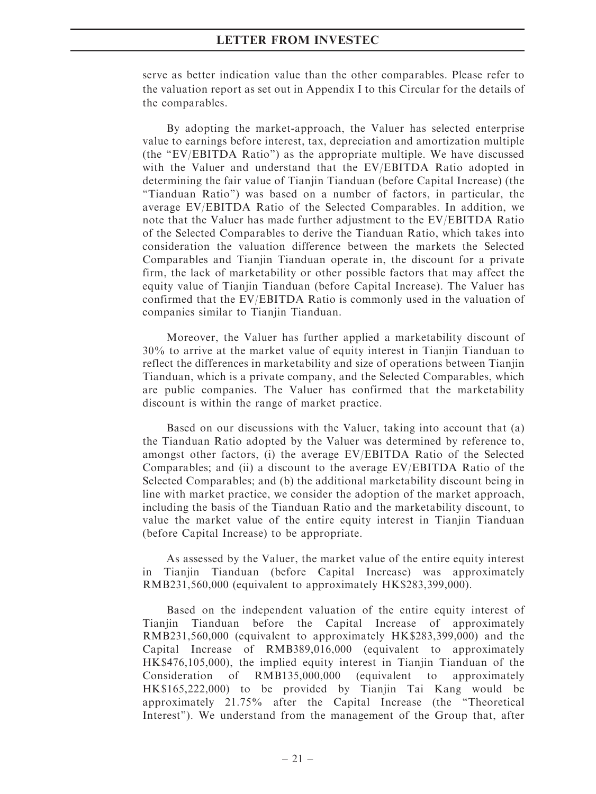serve as better indication value than the other comparables. Please refer to the valuation report as set out in Appendix I to this Circular for the details of the comparables.

By adopting the market-approach, the Valuer has selected enterprise value to earnings before interest, tax, depreciation and amortization multiple (the ''EV/EBITDA Ratio'') as the appropriate multiple. We have discussed with the Valuer and understand that the EV/EBITDA Ratio adopted in determining the fair value of Tianjin Tianduan (before Capital Increase) (the ''Tianduan Ratio'') was based on a number of factors, in particular, the average EV/EBITDA Ratio of the Selected Comparables. In addition, we note that the Valuer has made further adjustment to the EV/EBITDA Ratio of the Selected Comparables to derive the Tianduan Ratio, which takes into consideration the valuation difference between the markets the Selected Comparables and Tianjin Tianduan operate in, the discount for a private firm, the lack of marketability or other possible factors that may affect the equity value of Tianjin Tianduan (before Capital Increase). The Valuer has confirmed that the EV/EBITDA Ratio is commonly used in the valuation of companies similar to Tianjin Tianduan.

Moreover, the Valuer has further applied a marketability discount of 30% to arrive at the market value of equity interest in Tianjin Tianduan to reflect the differences in marketability and size of operations between Tianjin Tianduan, which is a private company, and the Selected Comparables, which are public companies. The Valuer has confirmed that the marketability discount is within the range of market practice.

Based on our discussions with the Valuer, taking into account that (a) the Tianduan Ratio adopted by the Valuer was determined by reference to, amongst other factors, (i) the average EV/EBITDA Ratio of the Selected Comparables; and (ii) a discount to the average EV/EBITDA Ratio of the Selected Comparables; and (b) the additional marketability discount being in line with market practice, we consider the adoption of the market approach, including the basis of the Tianduan Ratio and the marketability discount, to value the market value of the entire equity interest in Tianjin Tianduan (before Capital Increase) to be appropriate.

As assessed by the Valuer, the market value of the entire equity interest in Tianjin Tianduan (before Capital Increase) was approximately RMB231,560,000 (equivalent to approximately HK\$283,399,000).

Based on the independent valuation of the entire equity interest of Tianjin Tianduan before the Capital Increase of approximately RMB231,560,000 (equivalent to approximately HK\$283,399,000) and the Capital Increase of RMB389,016,000 (equivalent to approximately HK\$476,105,000), the implied equity interest in Tianjin Tianduan of the Consideration of RMB135,000,000 (equivalent to approximately HK\$165,222,000) to be provided by Tianjin Tai Kang would be approximately 21.75% after the Capital Increase (the ''Theoretical Interest''). We understand from the management of the Group that, after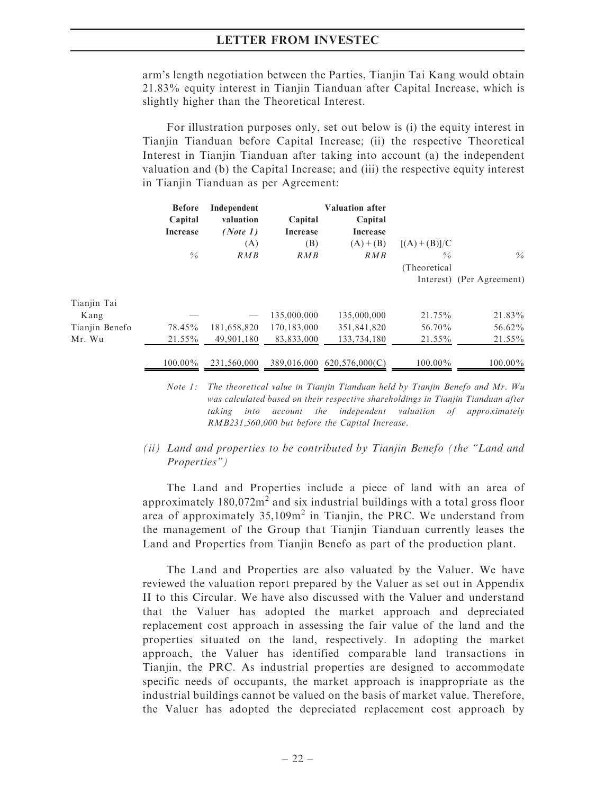arm's length negotiation between the Parties, Tianjin Tai Kang would obtain 21.83% equity interest in Tianjin Tianduan after Capital Increase, which is slightly higher than the Theoretical Interest.

For illustration purposes only, set out below is (i) the equity interest in Tianjin Tianduan before Capital Increase; (ii) the respective Theoretical Interest in Tianjin Tianduan after taking into account (a) the independent valuation and (b) the Capital Increase; and (iii) the respective equity interest in Tianjin Tianduan as per Agreement:

|                          | <b>Before</b><br>Capital<br><b>Increase</b><br>$\frac{0}{6}$ | Independent<br>valuation<br>(Note 1)<br>(A)<br>RMB | Capital<br>Increase<br>(B)<br>RMB | <b>Valuation after</b><br>Capital<br>Increase<br>$(A) + (B)$<br>RMB | $[(A) + (B)]/C$<br>$\%$<br>(Theoretical) | $\%$                      |
|--------------------------|--------------------------------------------------------------|----------------------------------------------------|-----------------------------------|---------------------------------------------------------------------|------------------------------------------|---------------------------|
|                          |                                                              |                                                    |                                   |                                                                     |                                          | Interest) (Per Agreement) |
| Tianjin Tai<br>Kang      |                                                              |                                                    | 135,000,000                       | 135,000,000                                                         | 21.75%                                   | 21.83%                    |
| Tianjin Benefo<br>Mr. Wu | 78.45%<br>21.55%                                             | 181,658,820<br>49,901,180                          | 170,183,000<br>83,833,000         | 351,841,820<br>133,734,180                                          | 56.70%<br>21.55%                         | 56.62%<br>21.55%          |
|                          | $100.00\%$                                                   | 231,560,000                                        | 389,016,000                       | 620.576,000(C)                                                      | $100.00\%$                               | $100.00\%$                |

Note 1: The theoretical value in Tianjin Tianduan held by Tianjin Benefo and Mr. Wu was calculated based on their respective shareholdings in Tianjin Tianduan after taking into account the independent valuation of approximately RMB231,560,000 but before the Capital Increase.

### (ii) Land and properties to be contributed by Tianjin Benefo (the ''Land and Properties'')

The Land and Properties include a piece of land with an area of approximately  $180.072m^2$  and six industrial buildings with a total gross floor area of approximately  $35,109m^2$  in Tianjin, the PRC. We understand from the management of the Group that Tianjin Tianduan currently leases the Land and Properties from Tianjin Benefo as part of the production plant.

The Land and Properties are also valuated by the Valuer. We have reviewed the valuation report prepared by the Valuer as set out in Appendix II to this Circular. We have also discussed with the Valuer and understand that the Valuer has adopted the market approach and depreciated replacement cost approach in assessing the fair value of the land and the properties situated on the land, respectively. In adopting the market approach, the Valuer has identified comparable land transactions in Tianjin, the PRC. As industrial properties are designed to accommodate specific needs of occupants, the market approach is inappropriate as the industrial buildings cannot be valued on the basis of market value. Therefore, the Valuer has adopted the depreciated replacement cost approach by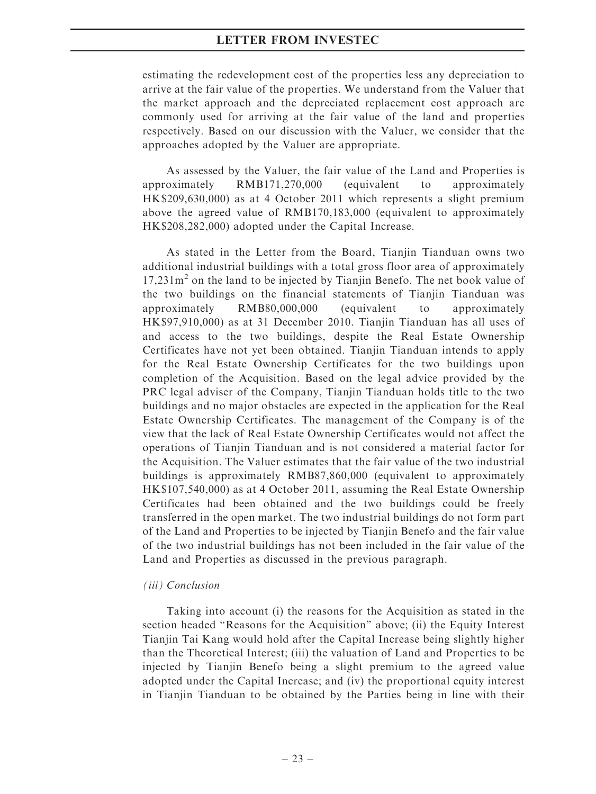estimating the redevelopment cost of the properties less any depreciation to arrive at the fair value of the properties. We understand from the Valuer that the market approach and the depreciated replacement cost approach are commonly used for arriving at the fair value of the land and properties respectively. Based on our discussion with the Valuer, we consider that the approaches adopted by the Valuer are appropriate.

As assessed by the Valuer, the fair value of the Land and Properties is approximately RMB171,270,000 (equivalent to approximately HK\$209,630,000) as at 4 October 2011 which represents a slight premium above the agreed value of RMB170,183,000 (equivalent to approximately HK\$208,282,000) adopted under the Capital Increase.

As stated in the Letter from the Board, Tianjin Tianduan owns two additional industrial buildings with a total gross floor area of approximately  $17.231\text{m}^2$  on the land to be injected by Tianjin Benefo. The net book value of the two buildings on the financial statements of Tianjin Tianduan was approximately RMB80,000,000 (equivalent to approximately HK\$97,910,000) as at 31 December 2010. Tianjin Tianduan has all uses of and access to the two buildings, despite the Real Estate Ownership Certificates have not yet been obtained. Tianjin Tianduan intends to apply for the Real Estate Ownership Certificates for the two buildings upon completion of the Acquisition. Based on the legal advice provided by the PRC legal adviser of the Company, Tianjin Tianduan holds title to the two buildings and no major obstacles are expected in the application for the Real Estate Ownership Certificates. The management of the Company is of the view that the lack of Real Estate Ownership Certificates would not affect the operations of Tianjin Tianduan and is not considered a material factor for the Acquisition. The Valuer estimates that the fair value of the two industrial buildings is approximately RMB87,860,000 (equivalent to approximately HK\$107,540,000) as at 4 October 2011, assuming the Real Estate Ownership Certificates had been obtained and the two buildings could be freely transferred in the open market. The two industrial buildings do not form part of the Land and Properties to be injected by Tianjin Benefo and the fair value of the two industrial buildings has not been included in the fair value of the Land and Properties as discussed in the previous paragraph.

#### (iii) Conclusion

Taking into account (i) the reasons for the Acquisition as stated in the section headed ''Reasons for the Acquisition'' above; (ii) the Equity Interest Tianjin Tai Kang would hold after the Capital Increase being slightly higher than the Theoretical Interest; (iii) the valuation of Land and Properties to be injected by Tianjin Benefo being a slight premium to the agreed value adopted under the Capital Increase; and (iv) the proportional equity interest in Tianjin Tianduan to be obtained by the Parties being in line with their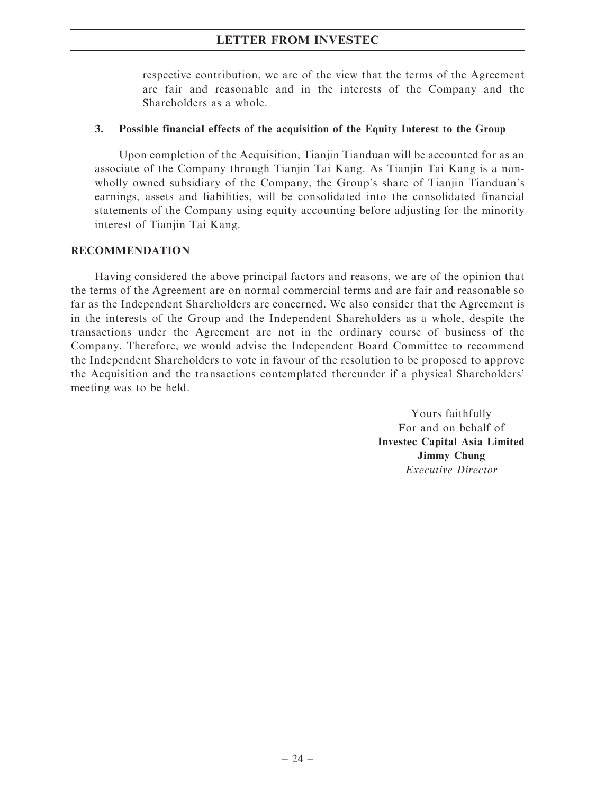respective contribution, we are of the view that the terms of the Agreement are fair and reasonable and in the interests of the Company and the Shareholders as a whole.

## 3. Possible financial effects of the acquisition of the Equity Interest to the Group

Upon completion of the Acquisition, Tianjin Tianduan will be accounted for as an associate of the Company through Tianjin Tai Kang. As Tianjin Tai Kang is a nonwholly owned subsidiary of the Company, the Group's share of Tianjin Tianduan's earnings, assets and liabilities, will be consolidated into the consolidated financial statements of the Company using equity accounting before adjusting for the minority interest of Tianjin Tai Kang.

## RECOMMENDATION

Having considered the above principal factors and reasons, we are of the opinion that the terms of the Agreement are on normal commercial terms and are fair and reasonable so far as the Independent Shareholders are concerned. We also consider that the Agreement is in the interests of the Group and the Independent Shareholders as a whole, despite the transactions under the Agreement are not in the ordinary course of business of the Company. Therefore, we would advise the Independent Board Committee to recommend the Independent Shareholders to vote in favour of the resolution to be proposed to approve the Acquisition and the transactions contemplated thereunder if a physical Shareholders' meeting was to be held.

> Yours faithfully For and on behalf of Investec Capital Asia Limited Jimmy Chung Executive Director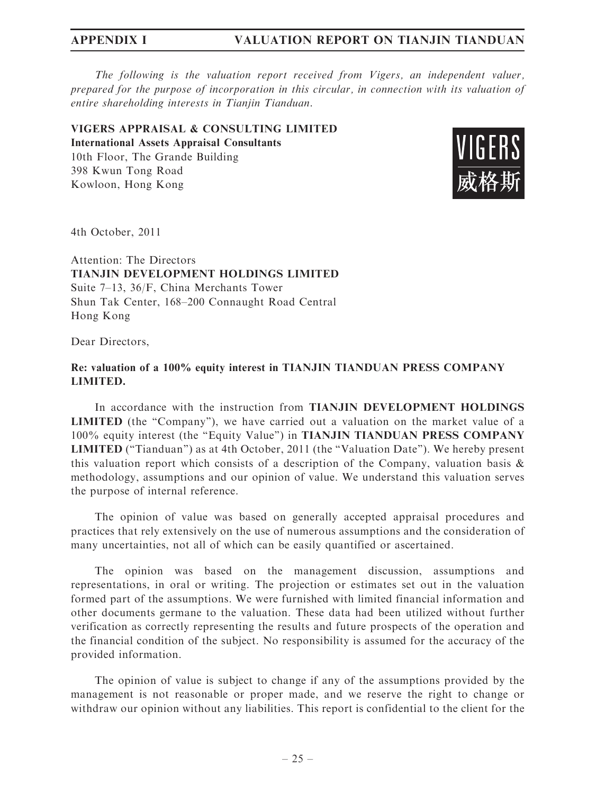## APPENDIX I VALUATION REPORT ON TIANJIN TIANDUAN

The following is the valuation report received from Vigers, an independent valuer, prepared for the purpose of incorporation in this circular, in connection with its valuation of entire shareholding interests in Tianjin Tianduan.

VIGERS APPRAISAL & CONSULTING LIMITED International Assets Appraisal Consultants 10th Floor, The Grande Building 398 Kwun Tong Road Kowloon, Hong Kong



4th October, 2011

Attention: The Directors TIANJIN DEVELOPMENT HOLDINGS LIMITED Suite 7–13, 36/F, China Merchants Tower Shun Tak Center, 168–200 Connaught Road Central Hong Kong

Dear Directors,

## Re: valuation of a 100% equity interest in TIANJIN TIANDUAN PRESS COMPANY LIMITED.

In accordance with the instruction from TIANJIN DEVELOPMENT HOLDINGS LIMITED (the "Company"), we have carried out a valuation on the market value of a 100% equity interest (the ''Equity Value'') in TIANJIN TIANDUAN PRESS COMPANY LIMITED (''Tianduan'') as at 4th October, 2011 (the ''Valuation Date''). We hereby present this valuation report which consists of a description of the Company, valuation basis  $\&$ methodology, assumptions and our opinion of value. We understand this valuation serves the purpose of internal reference.

The opinion of value was based on generally accepted appraisal procedures and practices that rely extensively on the use of numerous assumptions and the consideration of many uncertainties, not all of which can be easily quantified or ascertained.

The opinion was based on the management discussion, assumptions and representations, in oral or writing. The projection or estimates set out in the valuation formed part of the assumptions. We were furnished with limited financial information and other documents germane to the valuation. These data had been utilized without further verification as correctly representing the results and future prospects of the operation and the financial condition of the subject. No responsibility is assumed for the accuracy of the provided information.

The opinion of value is subject to change if any of the assumptions provided by the management is not reasonable or proper made, and we reserve the right to change or withdraw our opinion without any liabilities. This report is confidential to the client for the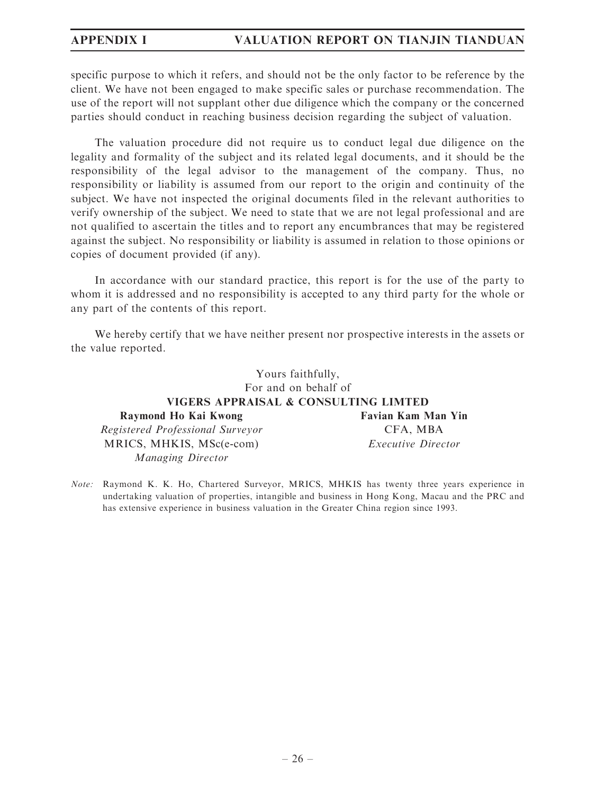specific purpose to which it refers, and should not be the only factor to be reference by the client. We have not been engaged to make specific sales or purchase recommendation. The use of the report will not supplant other due diligence which the company or the concerned parties should conduct in reaching business decision regarding the subject of valuation.

The valuation procedure did not require us to conduct legal due diligence on the legality and formality of the subject and its related legal documents, and it should be the responsibility of the legal advisor to the management of the company. Thus, no responsibility or liability is assumed from our report to the origin and continuity of the subject. We have not inspected the original documents filed in the relevant authorities to verify ownership of the subject. We need to state that we are not legal professional and are not qualified to ascertain the titles and to report any encumbrances that may be registered against the subject. No responsibility or liability is assumed in relation to those opinions or copies of document provided (if any).

In accordance with our standard practice, this report is for the use of the party to whom it is addressed and no responsibility is accepted to any third party for the whole or any part of the contents of this report.

We hereby certify that we have neither present nor prospective interests in the assets or the value reported.

Yours faithfully, For and on behalf of VIGERS APPRAISAL & CONSULTING LIMTED Raymond Ho Kai Kwong Registered Professional Surveyor MRICS, MHKIS, MSc(e-com) Managing Director Favian Kam Man Yin CFA, MBA Executive Director

Note: Raymond K. K. Ho, Chartered Surveyor, MRICS, MHKIS has twenty three years experience in undertaking valuation of properties, intangible and business in Hong Kong, Macau and the PRC and has extensive experience in business valuation in the Greater China region since 1993.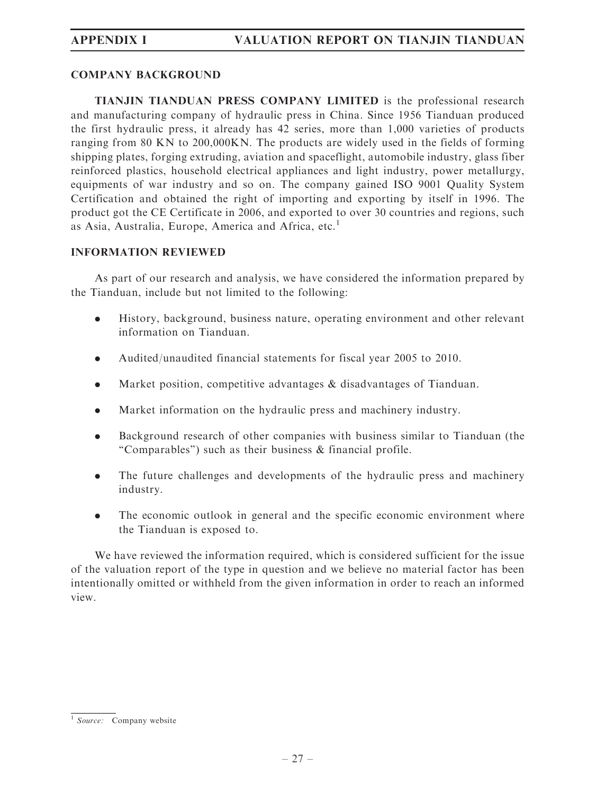## COMPANY BACKGROUND

TIANJIN TIANDUAN PRESS COMPANY LIMITED is the professional research and manufacturing company of hydraulic press in China. Since 1956 Tianduan produced the first hydraulic press, it already has 42 series, more than 1,000 varieties of products ranging from 80 KN to 200,000KN. The products are widely used in the fields of forming shipping plates, forging extruding, aviation and spaceflight, automobile industry, glass fiber reinforced plastics, household electrical appliances and light industry, power metallurgy, equipments of war industry and so on. The company gained ISO 9001 Quality System Certification and obtained the right of importing and exporting by itself in 1996. The product got the CE Certificate in 2006, and exported to over 30 countries and regions, such as Asia, Australia, Europe, America and Africa, etc.<sup>1</sup>

### INFORMATION REVIEWED

As part of our research and analysis, we have considered the information prepared by the Tianduan, include but not limited to the following:

- . History, background, business nature, operating environment and other relevant information on Tianduan.
- . Audited/unaudited financial statements for fiscal year 2005 to 2010.
- . Market position, competitive advantages & disadvantages of Tianduan.
- . Market information on the hydraulic press and machinery industry.
- . Background research of other companies with business similar to Tianduan (the ''Comparables'') such as their business & financial profile.
- . The future challenges and developments of the hydraulic press and machinery industry.
- . The economic outlook in general and the specific economic environment where the Tianduan is exposed to.

We have reviewed the information required, which is considered sufficient for the issue of the valuation report of the type in question and we believe no material factor has been intentionally omitted or withheld from the given information in order to reach an informed view.

 $\frac{1}{1}$  Source: Company website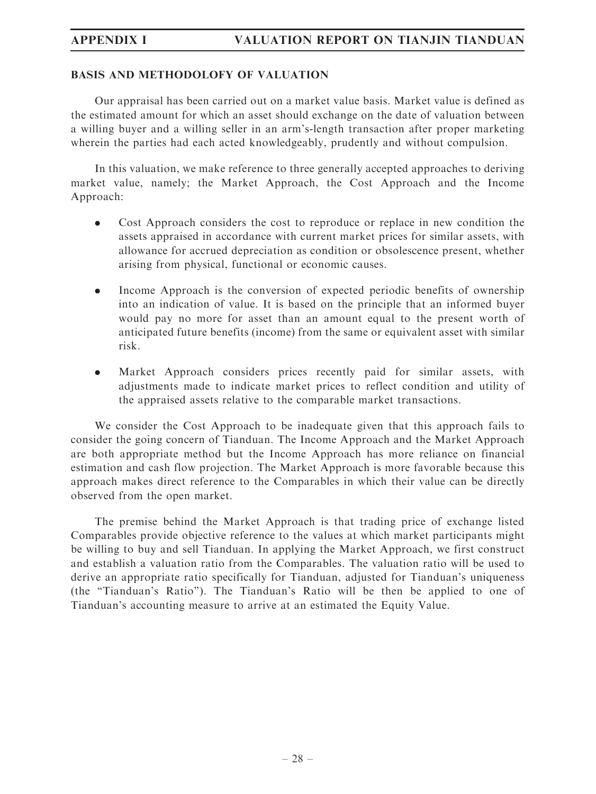## BASIS AND METHODOLOFY OF VALUATION

Our appraisal has been carried out on a market value basis. Market value is defined as the estimated amount for which an asset should exchange on the date of valuation between a willing buyer and a willing seller in an arm's-length transaction after proper marketing wherein the parties had each acted knowledgeably, prudently and without compulsion.

In this valuation, we make reference to three generally accepted approaches to deriving market value, namely; the Market Approach, the Cost Approach and the Income Approach:

- . Cost Approach considers the cost to reproduce or replace in new condition the assets appraised in accordance with current market prices for similar assets, with allowance for accrued depreciation as condition or obsolescence present, whether arising from physical, functional or economic causes.
- . Income Approach is the conversion of expected periodic benefits of ownership into an indication of value. It is based on the principle that an informed buyer would pay no more for asset than an amount equal to the present worth of anticipated future benefits (income) from the same or equivalent asset with similar risk.
- . Market Approach considers prices recently paid for similar assets, with adjustments made to indicate market prices to reflect condition and utility of the appraised assets relative to the comparable market transactions.

We consider the Cost Approach to be inadequate given that this approach fails to consider the going concern of Tianduan. The Income Approach and the Market Approach are both appropriate method but the Income Approach has more reliance on financial estimation and cash flow projection. The Market Approach is more favorable because this approach makes direct reference to the Comparables in which their value can be directly observed from the open market.

The premise behind the Market Approach is that trading price of exchange listed Comparables provide objective reference to the values at which market participants might be willing to buy and sell Tianduan. In applying the Market Approach, we first construct and establish a valuation ratio from the Comparables. The valuation ratio will be used to derive an appropriate ratio specifically for Tianduan, adjusted for Tianduan's uniqueness (the ''Tianduan's Ratio''). The Tianduan's Ratio will be then be applied to one of Tianduan's accounting measure to arrive at an estimated the Equity Value.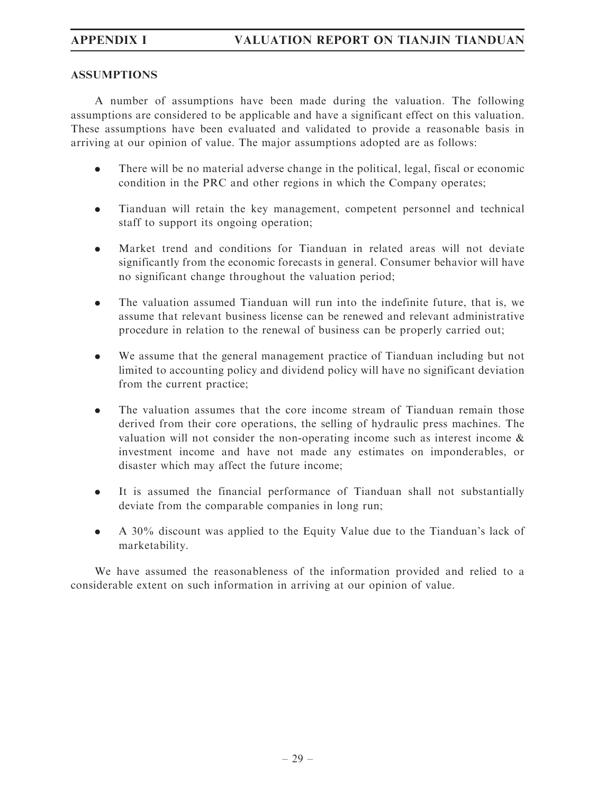## ASSUMPTIONS

A number of assumptions have been made during the valuation. The following assumptions are considered to be applicable and have a significant effect on this valuation. These assumptions have been evaluated and validated to provide a reasonable basis in arriving at our opinion of value. The major assumptions adopted are as follows:

- . There will be no material adverse change in the political, legal, fiscal or economic condition in the PRC and other regions in which the Company operates;
- . Tianduan will retain the key management, competent personnel and technical staff to support its ongoing operation;
- . Market trend and conditions for Tianduan in related areas will not deviate significantly from the economic forecasts in general. Consumer behavior will have no significant change throughout the valuation period;
- . The valuation assumed Tianduan will run into the indefinite future, that is, we assume that relevant business license can be renewed and relevant administrative procedure in relation to the renewal of business can be properly carried out;
- . We assume that the general management practice of Tianduan including but not limited to accounting policy and dividend policy will have no significant deviation from the current practice;
- . The valuation assumes that the core income stream of Tianduan remain those derived from their core operations, the selling of hydraulic press machines. The valuation will not consider the non-operating income such as interest income & investment income and have not made any estimates on imponderables, or disaster which may affect the future income;
- . It is assumed the financial performance of Tianduan shall not substantially deviate from the comparable companies in long run;
- . A 30% discount was applied to the Equity Value due to the Tianduan's lack of marketability.

We have assumed the reasonableness of the information provided and relied to a considerable extent on such information in arriving at our opinion of value.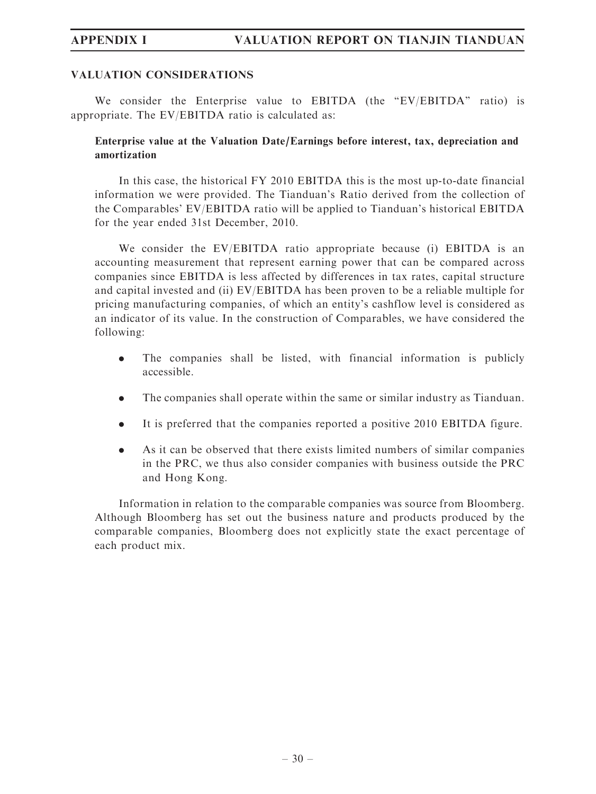## VALUATION CONSIDERATIONS

We consider the Enterprise value to EBITDA (the "EV/EBITDA" ratio) is appropriate. The EV/EBITDA ratio is calculated as:

## Enterprise value at the Valuation Date/Earnings before interest, tax, depreciation and amortization

In this case, the historical FY 2010 EBITDA this is the most up-to-date financial information we were provided. The Tianduan's Ratio derived from the collection of the Comparables' EV/EBITDA ratio will be applied to Tianduan's historical EBITDA for the year ended 31st December, 2010.

We consider the EV/EBITDA ratio appropriate because (i) EBITDA is an accounting measurement that represent earning power that can be compared across companies since EBITDA is less affected by differences in tax rates, capital structure and capital invested and (ii) EV/EBITDA has been proven to be a reliable multiple for pricing manufacturing companies, of which an entity's cashflow level is considered as an indicator of its value. In the construction of Comparables, we have considered the following:

- . The companies shall be listed, with financial information is publicly accessible.
- . The companies shall operate within the same or similar industry as Tianduan.
- . It is preferred that the companies reported a positive 2010 EBITDA figure.
- . As it can be observed that there exists limited numbers of similar companies in the PRC, we thus also consider companies with business outside the PRC and Hong Kong.

Information in relation to the comparable companies was source from Bloomberg. Although Bloomberg has set out the business nature and products produced by the comparable companies, Bloomberg does not explicitly state the exact percentage of each product mix.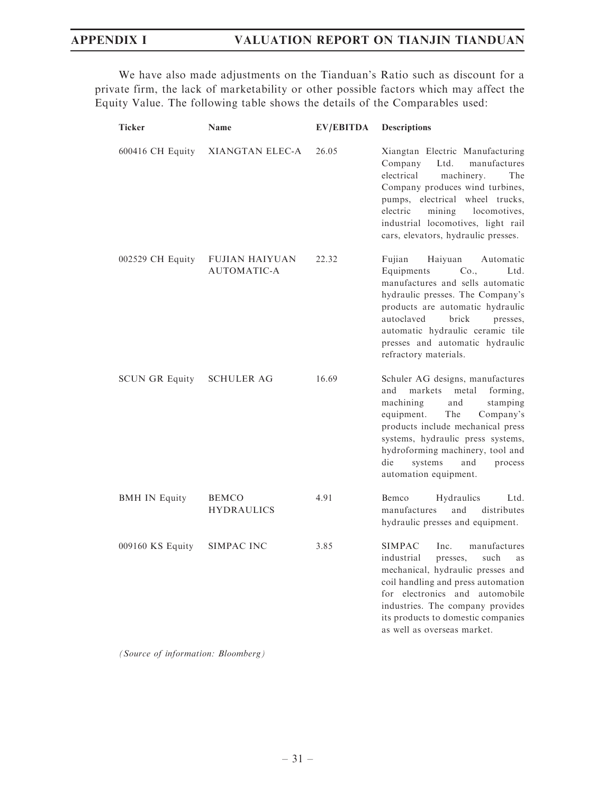We have also made adjustments on the Tianduan's Ratio such as discount for a private firm, the lack of marketability or other possible factors which may affect the Equity Value. The following table shows the details of the Comparables used:

| <b>Ticker</b>         | Name                                        | EV/EBITDA | <b>Descriptions</b>                                                                                                                                                                                                                                                                                                  |
|-----------------------|---------------------------------------------|-----------|----------------------------------------------------------------------------------------------------------------------------------------------------------------------------------------------------------------------------------------------------------------------------------------------------------------------|
| 600416 CH Equity      | <b>XIANGTAN ELEC-A</b>                      | 26.05     | Xiangtan Electric Manufacturing<br>manufactures<br>Company<br>Ltd.<br>electrical<br>machinery.<br>The<br>Company produces wind turbines,<br>pumps, electrical wheel trucks,<br>electric<br>mining<br>locomotives.<br>industrial locomotives, light rail<br>cars, elevators, hydraulic presses.                       |
| 002529 CH Equity      | <b>FUJIAN HAIYUAN</b><br><b>AUTOMATIC-A</b> | 22.32     | Fujian<br>Haiyuan<br>Automatic<br>Equipments<br>Co.<br>Ltd.<br>manufactures and sells automatic<br>hydraulic presses. The Company's<br>products are automatic hydraulic<br>autoclaved<br>brick<br>presses,<br>automatic hydraulic ceramic tile<br>presses and automatic hydraulic<br>refractory materials.           |
| <b>SCUN GR Equity</b> | <b>SCHULER AG</b>                           | 16.69     | Schuler AG designs, manufactures<br>markets<br>metal<br>forming,<br>and<br>machining<br>and<br>stamping<br>equipment.<br>The<br>Company's<br>products include mechanical press<br>systems, hydraulic press systems,<br>hydroforming machinery, tool and<br>die<br>systems<br>and<br>process<br>automation equipment. |
| <b>BMH IN Equity</b>  | <b>BEMCO</b><br><b>HYDRAULICS</b>           | 4.91      | Hydraulics<br>Bemco<br>Ltd.<br>manufactures<br>and<br>distributes<br>hydraulic presses and equipment.                                                                                                                                                                                                                |
| 009160 KS Equity      | SIMPAC INC                                  | 3.85      | <b>SIMPAC</b><br>manufactures<br>Inc.<br>industrial<br>presses,<br>such<br>as.<br>mechanical, hydraulic presses and<br>coil handling and press automation<br>for electronics and automobile<br>industries. The company provides<br>its products to domestic companies<br>as well as overseas market.                 |

(Source of information: Bloomberg)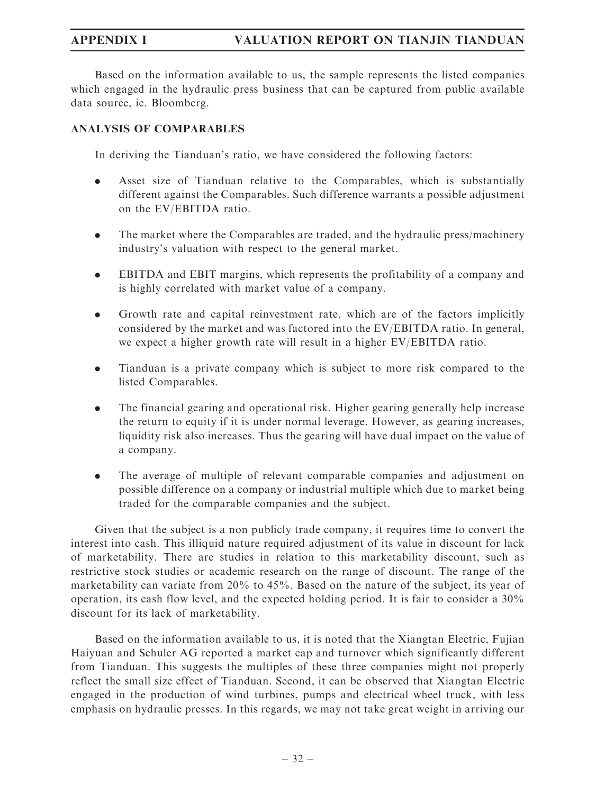## APPENDIX I VALUATION REPORT ON TIANJIN TIANDUAN

Based on the information available to us, the sample represents the listed companies which engaged in the hydraulic press business that can be captured from public available data source, ie. Bloomberg.

## ANALYSIS OF COMPARABLES

In deriving the Tianduan's ratio, we have considered the following factors:

- . Asset size of Tianduan relative to the Comparables, which is substantially different against the Comparables. Such difference warrants a possible adjustment on the EV/EBITDA ratio.
- . The market where the Comparables are traded, and the hydraulic press/machinery industry's valuation with respect to the general market.
- . EBITDA and EBIT margins, which represents the profitability of a company and is highly correlated with market value of a company.
- . Growth rate and capital reinvestment rate, which are of the factors implicitly considered by the market and was factored into the EV/EBITDA ratio. In general, we expect a higher growth rate will result in a higher EV/EBITDA ratio.
- . Tianduan is a private company which is subject to more risk compared to the listed Comparables.
- . The financial gearing and operational risk. Higher gearing generally help increase the return to equity if it is under normal leverage. However, as gearing increases, liquidity risk also increases. Thus the gearing will have dual impact on the value of a company.
- . The average of multiple of relevant comparable companies and adjustment on possible difference on a company or industrial multiple which due to market being traded for the comparable companies and the subject.

Given that the subject is a non publicly trade company, it requires time to convert the interest into cash. This illiquid nature required adjustment of its value in discount for lack of marketability. There are studies in relation to this marketability discount, such as restrictive stock studies or academic research on the range of discount. The range of the marketability can variate from 20% to 45%. Based on the nature of the subject, its year of operation, its cash flow level, and the expected holding period. It is fair to consider a 30% discount for its lack of marketability.

Based on the information available to us, it is noted that the Xiangtan Electric, Fujian Haiyuan and Schuler AG reported a market cap and turnover which significantly different from Tianduan. This suggests the multiples of these three companies might not properly reflect the small size effect of Tianduan. Second, it can be observed that Xiangtan Electric engaged in the production of wind turbines, pumps and electrical wheel truck, with less emphasis on hydraulic presses. In this regards, we may not take great weight in arriving our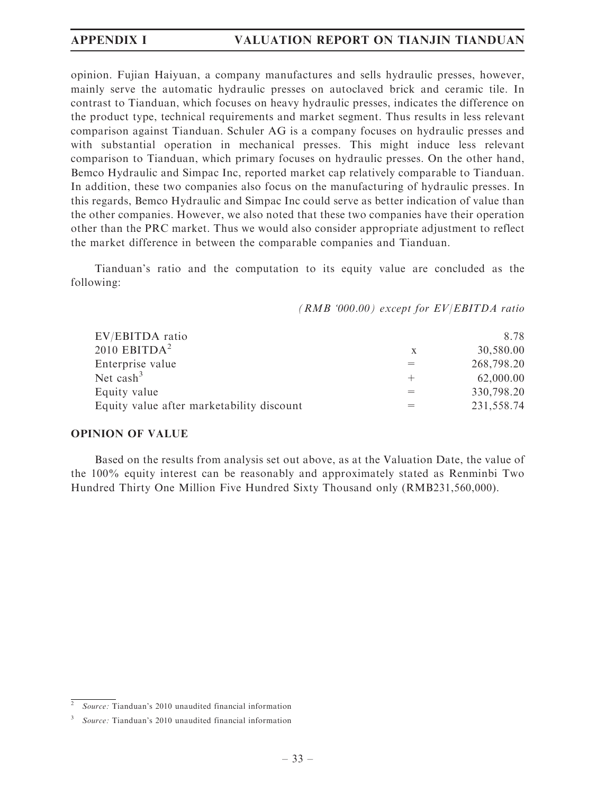opinion. Fujian Haiyuan, a company manufactures and sells hydraulic presses, however, mainly serve the automatic hydraulic presses on autoclaved brick and ceramic tile. In contrast to Tianduan, which focuses on heavy hydraulic presses, indicates the difference on the product type, technical requirements and market segment. Thus results in less relevant comparison against Tianduan. Schuler AG is a company focuses on hydraulic presses and with substantial operation in mechanical presses. This might induce less relevant comparison to Tianduan, which primary focuses on hydraulic presses. On the other hand, Bemco Hydraulic and Simpac Inc, reported market cap relatively comparable to Tianduan. In addition, these two companies also focus on the manufacturing of hydraulic presses. In this regards, Bemco Hydraulic and Simpac Inc could serve as better indication of value than the other companies. However, we also noted that these two companies have their operation other than the PRC market. Thus we would also consider appropriate adjustment to reflect the market difference in between the comparable companies and Tianduan.

Tianduan's ratio and the computation to its equity value are concluded as the following:

(RMB '000.00) except for EV/EBITDA ratio

| EV/EBITDA ratio                           |      | 8.78       |
|-------------------------------------------|------|------------|
| $2010$ EBITDA <sup>2</sup>                |      | 30,580.00  |
| Enterprise value                          |      | 268,798.20 |
| Net cash <sup>3</sup>                     | $^+$ | 62,000.00  |
| Equity value                              |      | 330,798.20 |
| Equity value after marketability discount |      | 231,558.74 |

### OPINION OF VALUE

Based on the results from analysis set out above, as at the Valuation Date, the value of the 100% equity interest can be reasonably and approximately stated as Renminbi Two Hundred Thirty One Million Five Hundred Sixty Thousand only (RMB231,560,000).

Source: Tianduan's 2010 unaudited financial information

<sup>3</sup> Source: Tianduan's 2010 unaudited financial information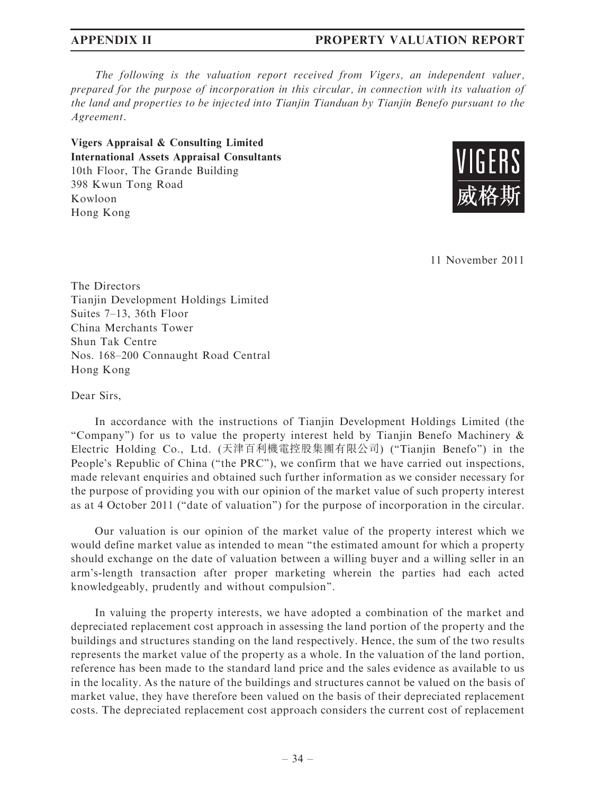The following is the valuation report received from Vigers, an independent valuer, prepared for the purpose of incorporation in this circular, in connection with its valuation of the land and properties to be injected into Tianjin Tianduan by Tianjin Benefo pursuant to the Agreement.

Vigers Appraisal & Consulting Limited International Assets Appraisal Consultants 10th Floor, The Grande Building 398 Kwun Tong Road Kowloon Hong Kong



11 November 2011

The Directors Tianjin Development Holdings Limited Suites 7–13, 36th Floor China Merchants Tower Shun Tak Centre Nos. 168–200 Connaught Road Central Hong Kong

Dear Sirs,

In accordance with the instructions of Tianjin Development Holdings Limited (the "Company") for us to value the property interest held by Tianjin Benefo Machinery  $\&$ Electric Holding Co., Ltd. (天津百利機電控股集團有限公司) (''Tianjin Benefo'') in the People's Republic of China ("the PRC"), we confirm that we have carried out inspections, made relevant enquiries and obtained such further information as we consider necessary for the purpose of providing you with our opinion of the market value of such property interest as at 4 October 2011 (''date of valuation'') for the purpose of incorporation in the circular.

Our valuation is our opinion of the market value of the property interest which we would define market value as intended to mean ''the estimated amount for which a property should exchange on the date of valuation between a willing buyer and a willing seller in an arm's-length transaction after proper marketing wherein the parties had each acted knowledgeably, prudently and without compulsion''.

In valuing the property interests, we have adopted a combination of the market and depreciated replacement cost approach in assessing the land portion of the property and the buildings and structures standing on the land respectively. Hence, the sum of the two results represents the market value of the property as a whole. In the valuation of the land portion, reference has been made to the standard land price and the sales evidence as available to us in the locality. As the nature of the buildings and structures cannot be valued on the basis of market value, they have therefore been valued on the basis of their depreciated replacement costs. The depreciated replacement cost approach considers the current cost of replacement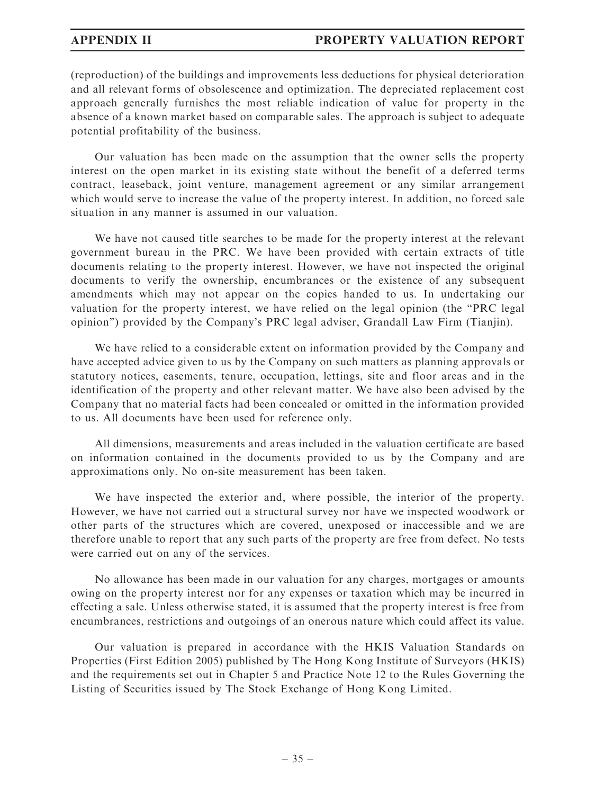(reproduction) of the buildings and improvements less deductions for physical deterioration and all relevant forms of obsolescence and optimization. The depreciated replacement cost approach generally furnishes the most reliable indication of value for property in the absence of a known market based on comparable sales. The approach is subject to adequate potential profitability of the business.

Our valuation has been made on the assumption that the owner sells the property interest on the open market in its existing state without the benefit of a deferred terms contract, leaseback, joint venture, management agreement or any similar arrangement which would serve to increase the value of the property interest. In addition, no forced sale situation in any manner is assumed in our valuation.

We have not caused title searches to be made for the property interest at the relevant government bureau in the PRC. We have been provided with certain extracts of title documents relating to the property interest. However, we have not inspected the original documents to verify the ownership, encumbrances or the existence of any subsequent amendments which may not appear on the copies handed to us. In undertaking our valuation for the property interest, we have relied on the legal opinion (the ''PRC legal opinion'') provided by the Company's PRC legal adviser, Grandall Law Firm (Tianjin).

We have relied to a considerable extent on information provided by the Company and have accepted advice given to us by the Company on such matters as planning approvals or statutory notices, easements, tenure, occupation, lettings, site and floor areas and in the identification of the property and other relevant matter. We have also been advised by the Company that no material facts had been concealed or omitted in the information provided to us. All documents have been used for reference only.

All dimensions, measurements and areas included in the valuation certificate are based on information contained in the documents provided to us by the Company and are approximations only. No on-site measurement has been taken.

We have inspected the exterior and, where possible, the interior of the property. However, we have not carried out a structural survey nor have we inspected woodwork or other parts of the structures which are covered, unexposed or inaccessible and we are therefore unable to report that any such parts of the property are free from defect. No tests were carried out on any of the services.

No allowance has been made in our valuation for any charges, mortgages or amounts owing on the property interest nor for any expenses or taxation which may be incurred in effecting a sale. Unless otherwise stated, it is assumed that the property interest is free from encumbrances, restrictions and outgoings of an onerous nature which could affect its value.

Our valuation is prepared in accordance with the HKIS Valuation Standards on Properties (First Edition 2005) published by The Hong Kong Institute of Surveyors (HKIS) and the requirements set out in Chapter 5 and Practice Note 12 to the Rules Governing the Listing of Securities issued by The Stock Exchange of Hong Kong Limited.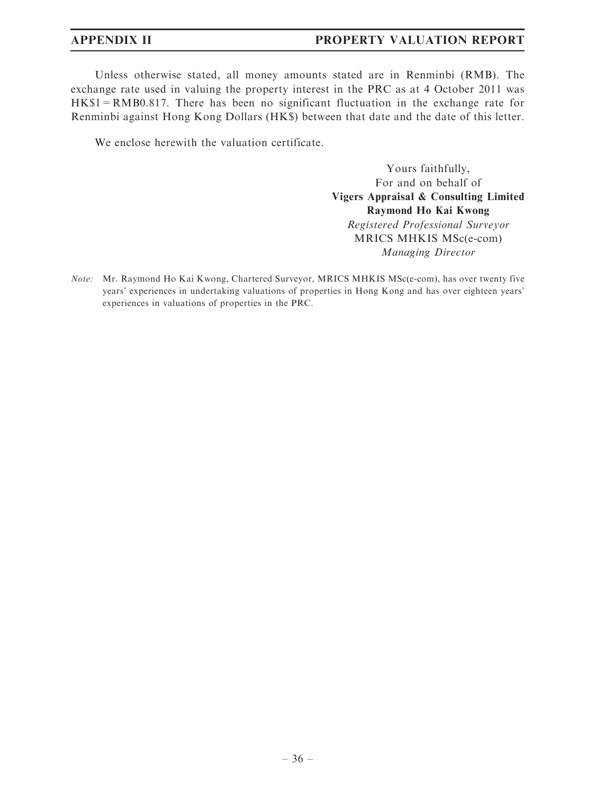Unless otherwise stated, all money amounts stated are in Renminbi (RMB). The exchange rate used in valuing the property interest in the PRC as at 4 October 2011 was  $HK$1 = RMB0.817$ . There has been no significant fluctuation in the exchange rate for Renminbi against Hong Kong Dollars (HK\$) between that date and the date of this letter.

We enclose herewith the valuation certificate.

Yours faithfully, For and on behalf of Vigers Appraisal & Consulting Limited Raymond Ho Kai Kwong Registered Professional Surveyor MRICS MHKIS MSc(e-com) Managing Director

Note: Mr. Raymond Ho Kai Kwong, Chartered Surveyor, MRICS MHKIS MSc(e-com), has over twenty five years' experiences in undertaking valuations of properties in Hong Kong and has over eighteen years' experiences in valuations of properties in the PRC.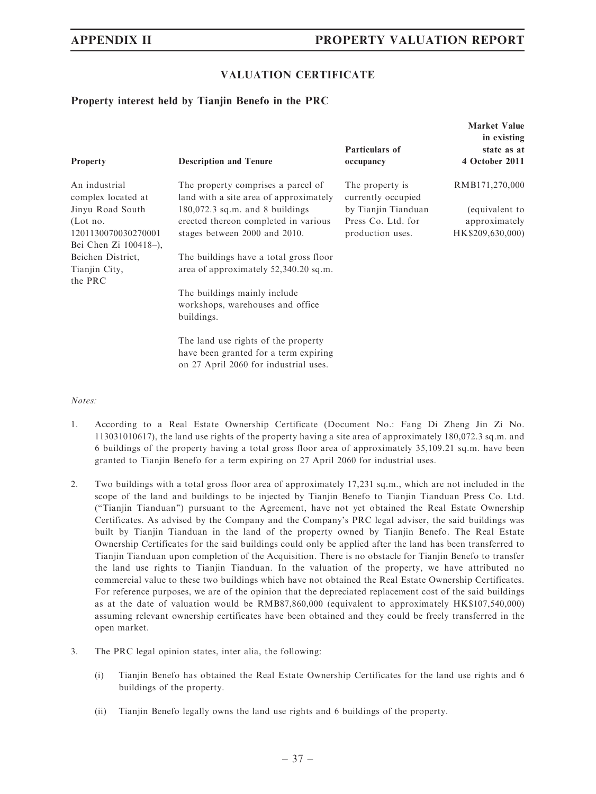### VALUATION CERTIFICATE

## Property interest held by Tianjin Benefo in the PRC

| Property                            | <b>Description and Tenure</b>                                                | Particulars of<br>occupancy           | <b>Market Value</b><br>in existing<br>state as at<br>4 October 2011 |
|-------------------------------------|------------------------------------------------------------------------------|---------------------------------------|---------------------------------------------------------------------|
| An industrial<br>complex located at | The property comprises a parcel of<br>land with a site area of approximately | The property is<br>currently occupied | RMB171,270,000                                                      |
| Jinyu Road South                    | $180,072.3$ sq.m. and 8 buildings                                            | by Tianjin Tianduan                   | (equivalent to                                                      |
| $($ Lot no.                         | erected thereon completed in various                                         | Press Co. Ltd. for                    | approximately                                                       |
| 1201130070030270001                 | stages between 2000 and 2010.                                                | production uses.                      | HK\$209,630,000)                                                    |
| Bei Chen Zi 100418-),               |                                                                              |                                       |                                                                     |
| Beichen District,                   | The buildings have a total gross floor                                       |                                       |                                                                     |
| Tianjin City,<br>the PRC            | area of approximately 52,340.20 sq.m.                                        |                                       |                                                                     |
|                                     | The buildings mainly include                                                 |                                       |                                                                     |
|                                     | workshops, warehouses and office                                             |                                       |                                                                     |
|                                     | buildings.                                                                   |                                       |                                                                     |
|                                     | The land use rights of the property                                          |                                       |                                                                     |
|                                     | have been granted for a term expiring                                        |                                       |                                                                     |
|                                     | on 27 April 2060 for industrial uses.                                        |                                       |                                                                     |

#### Notes:

- 1. According to a Real Estate Ownership Certificate (Document No.: Fang Di Zheng Jin Zi No. 113031010617), the land use rights of the property having a site area of approximately 180,072.3 sq.m. and 6 buildings of the property having a total gross floor area of approximately 35,109.21 sq.m. have been granted to Tianjin Benefo for a term expiring on 27 April 2060 for industrial uses.
- 2. Two buildings with a total gross floor area of approximately 17,231 sq.m., which are not included in the scope of the land and buildings to be injected by Tianjin Benefo to Tianjin Tianduan Press Co. Ltd. (''Tianjin Tianduan'') pursuant to the Agreement, have not yet obtained the Real Estate Ownership Certificates. As advised by the Company and the Company's PRC legal adviser, the said buildings was built by Tianjin Tianduan in the land of the property owned by Tianjin Benefo. The Real Estate Ownership Certificates for the said buildings could only be applied after the land has been transferred to Tianjin Tianduan upon completion of the Acquisition. There is no obstacle for Tianjin Benefo to transfer the land use rights to Tianjin Tianduan. In the valuation of the property, we have attributed no commercial value to these two buildings which have not obtained the Real Estate Ownership Certificates. For reference purposes, we are of the opinion that the depreciated replacement cost of the said buildings as at the date of valuation would be RMB87,860,000 (equivalent to approximately HK\$107,540,000) assuming relevant ownership certificates have been obtained and they could be freely transferred in the open market.
- 3. The PRC legal opinion states, inter alia, the following:
	- (i) Tianjin Benefo has obtained the Real Estate Ownership Certificates for the land use rights and 6 buildings of the property.
	- (ii) Tianjin Benefo legally owns the land use rights and 6 buildings of the property.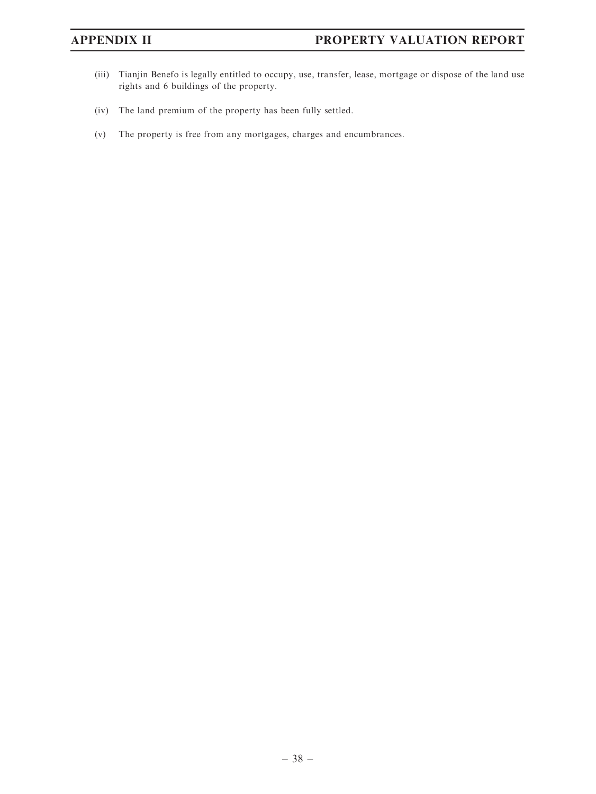- (iii) Tianjin Benefo is legally entitled to occupy, use, transfer, lease, mortgage or dispose of the land use rights and 6 buildings of the property.
- (iv) The land premium of the property has been fully settled.
- (v) The property is free from any mortgages, charges and encumbrances.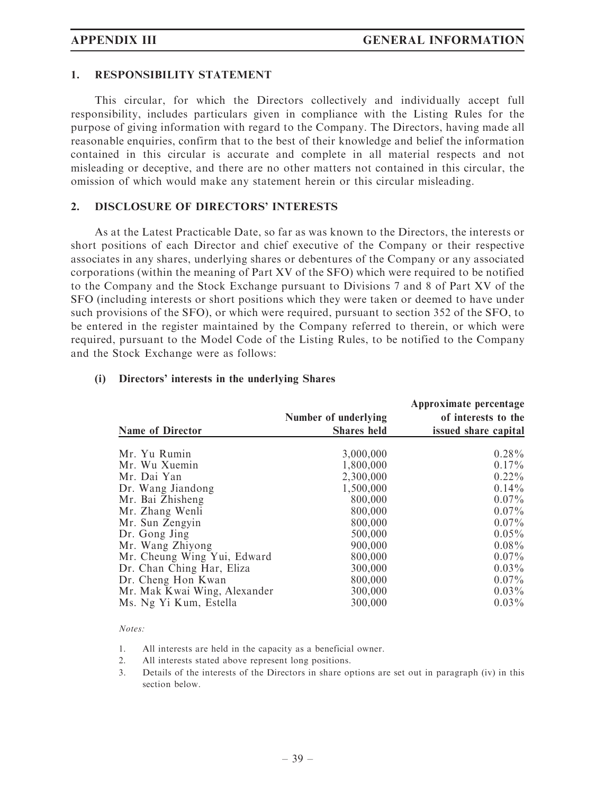### 1. RESPONSIBILITY STATEMENT

This circular, for which the Directors collectively and individually accept full responsibility, includes particulars given in compliance with the Listing Rules for the purpose of giving information with regard to the Company. The Directors, having made all reasonable enquiries, confirm that to the best of their knowledge and belief the information contained in this circular is accurate and complete in all material respects and not misleading or deceptive, and there are no other matters not contained in this circular, the omission of which would make any statement herein or this circular misleading.

### 2. DISCLOSURE OF DIRECTORS' INTERESTS

As at the Latest Practicable Date, so far as was known to the Directors, the interests or short positions of each Director and chief executive of the Company or their respective associates in any shares, underlying shares or debentures of the Company or any associated corporations (within the meaning of Part XV of the SFO) which were required to be notified to the Company and the Stock Exchange pursuant to Divisions 7 and 8 of Part XV of the SFO (including interests or short positions which they were taken or deemed to have under such provisions of the SFO), or which were required, pursuant to section 352 of the SFO, to be entered in the register maintained by the Company referred to therein, or which were required, pursuant to the Model Code of the Listing Rules, to be notified to the Company and the Stock Exchange were as follows:

# (i) Directors' interests in the underlying Shares

|                      | Approximate percentage |
|----------------------|------------------------|
| Number of underlying | of interests to the    |
| <b>Shares</b> held   | issued share capital   |
|                      | $0.28\%$               |
|                      | $0.17\%$               |
| 2,300,000            | $0.22\%$               |
| 1,500,000            | $0.14\%$               |
| 800,000              | $0.07\%$               |
| 800,000              | $0.07\%$               |
| 800,000              | $0.07\%$               |
| 500,000              | $0.05\%$               |
| 900,000              | $0.08\%$               |
| 800,000              | $0.07\%$               |
| 300,000              | $0.03\%$               |
| 800,000              | $0.07\%$               |
| 300,000              | $0.03\%$               |
| 300,000              | $0.03\%$               |
|                      | 3,000,000<br>1,800,000 |

#### Notes:

- 1. All interests are held in the capacity as a beneficial owner.
- 2. All interests stated above represent long positions.
- 3. Details of the interests of the Directors in share options are set out in paragraph (iv) in this section below.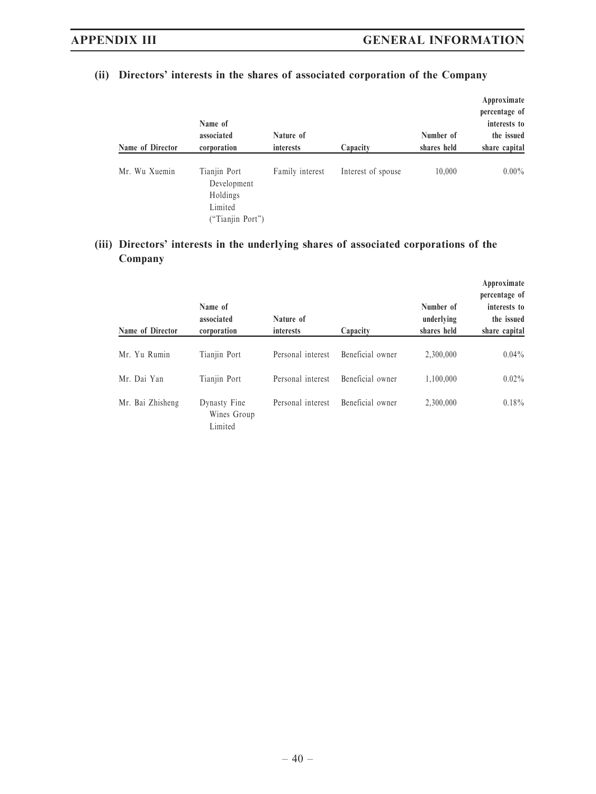## (ii) Directors' interests in the shares of associated corporation of the Company

|                  | Name of<br>associated                                                 | Nature of       |                    | Number of   | Approximate<br>percentage of<br>interests to<br>the issued |
|------------------|-----------------------------------------------------------------------|-----------------|--------------------|-------------|------------------------------------------------------------|
| Name of Director | corporation                                                           | interests       | Capacity           | shares held | share capital                                              |
| Mr. Wu Xuemin    | Tianjin Port<br>Development<br>Holdings<br>Limited<br>"Tianjin Port") | Family interest | Interest of spouse | 10,000      | $0.00\%$                                                   |

## (iii) Directors' interests in the underlying shares of associated corporations of the Company

| Name of Director | Name of<br>associated<br>corporation   | Nature of<br>interests | Capacity         | Number of<br>underlying<br>shares held | Approximate<br>percentage of<br>interests to<br>the issued<br>share capital |
|------------------|----------------------------------------|------------------------|------------------|----------------------------------------|-----------------------------------------------------------------------------|
| Mr. Yu Rumin     | Tianjin Port                           | Personal interest      | Beneficial owner | 2.300,000                              | $0.04\%$                                                                    |
| Mr. Dai Yan      | Tianjin Port                           | Personal interest      | Beneficial owner | 1,100,000                              | $0.02\%$                                                                    |
| Mr. Bai Zhisheng | Dynasty Fine<br>Wines Group<br>Limited | Personal interest      | Beneficial owner | 2,300,000                              | $0.18\%$                                                                    |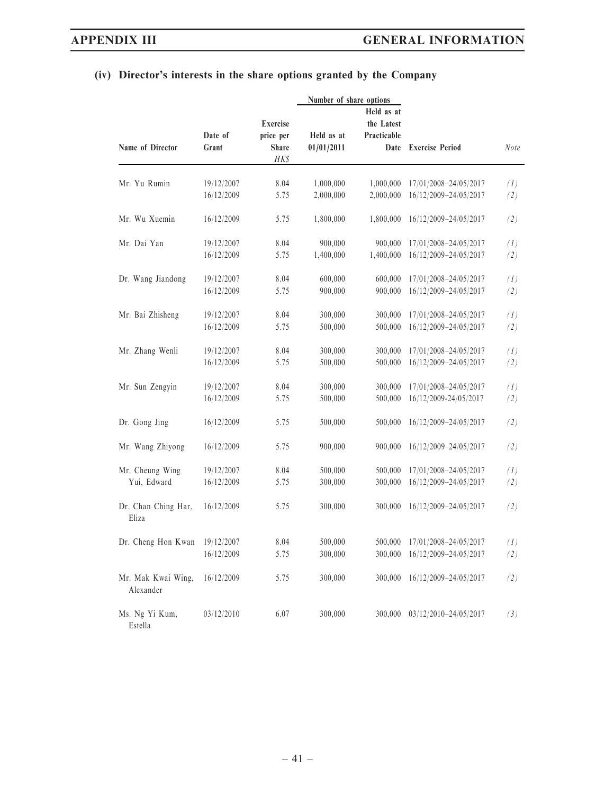# (iv) Director's interests in the share options granted by the Company

|                                 |            |                 | Number of share options |             |                               |             |
|---------------------------------|------------|-----------------|-------------------------|-------------|-------------------------------|-------------|
|                                 |            |                 |                         | Held as at  |                               |             |
|                                 |            | <b>Exercise</b> |                         | the Latest  |                               |             |
|                                 | Date of    | price per       | Held as at              | Practicable |                               |             |
| Name of Director                | Grant      | Share<br>HK\$   | 01/01/2011              | Date        | <b>Exercise Period</b>        | <b>Note</b> |
|                                 |            |                 |                         |             |                               |             |
| Mr. Yu Rumin                    | 19/12/2007 | 8.04            | 1,000,000               | 1,000,000   | 17/01/2008-24/05/2017         | (1)         |
|                                 | 16/12/2009 | 5.75            | 2,000,000               | 2,000,000   | 16/12/2009-24/05/2017         | (2)         |
| Mr. Wu Xuemin                   | 16/12/2009 | 5.75            | 1,800,000               | 1,800,000   | 16/12/2009-24/05/2017         | (2)         |
| Mr. Dai Yan                     | 19/12/2007 | 8.04            | 900,000                 | 900,000     | 17/01/2008-24/05/2017         | (1)         |
|                                 | 16/12/2009 | 5.75            | 1,400,000               | 1,400,000   | 16/12/2009-24/05/2017         | (2)         |
|                                 |            |                 |                         |             |                               |             |
| Dr. Wang Jiandong               | 19/12/2007 | 8.04            | 600,000                 | 600,000     | 17/01/2008-24/05/2017         | (1)         |
|                                 | 16/12/2009 | 5.75            | 900,000                 | 900,000     | 16/12/2009-24/05/2017         | (2)         |
| Mr. Bai Zhisheng                | 19/12/2007 | 8.04            | 300,000                 | 300,000     | 17/01/2008-24/05/2017         | (1)         |
|                                 | 16/12/2009 | 5.75            | 500,000                 | 500,000     | 16/12/2009-24/05/2017         | (2)         |
|                                 |            |                 |                         |             |                               |             |
| Mr. Zhang Wenli                 | 19/12/2007 | 8.04            | 300,000                 | 300,000     | 17/01/2008-24/05/2017         | (1)         |
|                                 | 16/12/2009 | 5.75            | 500,000                 | 500,000     | 16/12/2009-24/05/2017         | (2)         |
| Mr. Sun Zengyin                 | 19/12/2007 | 8.04            | 300,000                 | 300,000     | 17/01/2008-24/05/2017         | (1)         |
|                                 | 16/12/2009 | 5.75            | 500,000                 | 500,000     | 16/12/2009-24/05/2017         | (2)         |
|                                 |            |                 |                         |             |                               |             |
| Dr. Gong Jing                   | 16/12/2009 | 5.75            | 500,000                 | 500,000     | 16/12/2009-24/05/2017         | (2)         |
| Mr. Wang Zhiyong                | 16/12/2009 | 5.75            | 900,000                 | 900,000     | 16/12/2009-24/05/2017         | (2)         |
|                                 |            |                 |                         |             |                               |             |
| Mr. Cheung Wing                 | 19/12/2007 | 8.04            | 500,000                 | 500,000     | 17/01/2008-24/05/2017         | (1)         |
| Yui, Edward                     | 16/12/2009 | 5.75            | 300,000                 | 300,000     | 16/12/2009-24/05/2017         | (2)         |
|                                 |            |                 |                         |             |                               |             |
| Dr. Chan Ching Har,             | 16/12/2009 | 5.75            | 300,000                 | 300,000     | 16/12/2009-24/05/2017         | (2)         |
| Eliza                           |            |                 |                         |             |                               |             |
| Dr. Cheng Hon Kwan $19/12/2007$ |            | 8.04            | 500,000                 |             | 500,000 17/01/2008-24/05/2017 | (1)         |
|                                 | 16/12/2009 | 5.75            | 300,000                 | 300,000     | 16/12/2009-24/05/2017         | (2)         |
|                                 |            |                 |                         |             |                               |             |
| Mr. Mak Kwai Wing,              | 16/12/2009 | 5.75            | 300,000                 | 300,000     | 16/12/2009-24/05/2017         | (2)         |
| Alexander                       |            |                 |                         |             |                               |             |
|                                 |            |                 |                         |             |                               |             |
| Ms. Ng Yi Kum,<br>Estella       | 03/12/2010 | 6.07            | 300,000                 | 300,000     | 03/12/2010-24/05/2017         | (3)         |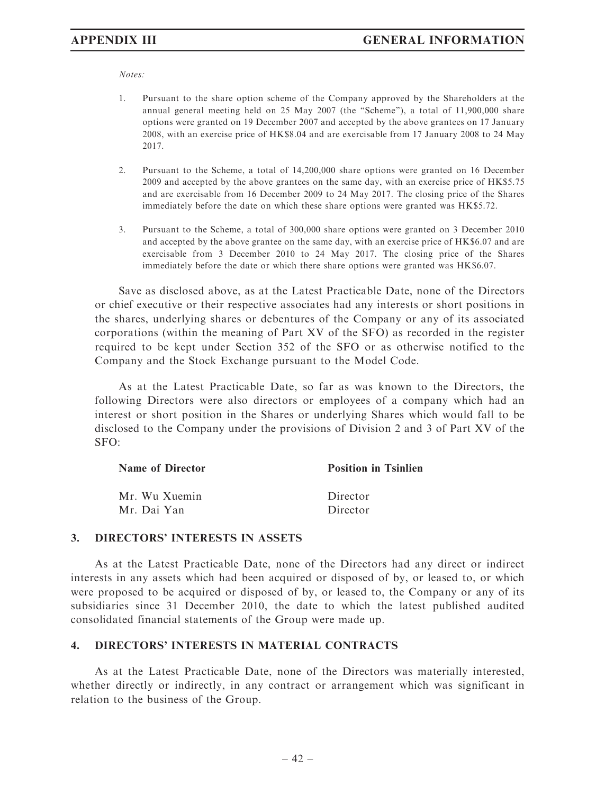Notes:

- 1. Pursuant to the share option scheme of the Company approved by the Shareholders at the annual general meeting held on 25 May 2007 (the ''Scheme''), a total of 11,900,000 share options were granted on 19 December 2007 and accepted by the above grantees on 17 January 2008, with an exercise price of HK\$8.04 and are exercisable from 17 January 2008 to 24 May 2017.
- 2. Pursuant to the Scheme, a total of 14,200,000 share options were granted on 16 December 2009 and accepted by the above grantees on the same day, with an exercise price of HK\$5.75 and are exercisable from 16 December 2009 to 24 May 2017. The closing price of the Shares immediately before the date on which these share options were granted was HK\$5.72.
- 3. Pursuant to the Scheme, a total of 300,000 share options were granted on 3 December 2010 and accepted by the above grantee on the same day, with an exercise price of HK\$6.07 and are exercisable from 3 December 2010 to 24 May 2017. The closing price of the Shares immediately before the date or which there share options were granted was HK\$6.07.

Save as disclosed above, as at the Latest Practicable Date, none of the Directors or chief executive or their respective associates had any interests or short positions in the shares, underlying shares or debentures of the Company or any of its associated corporations (within the meaning of Part XV of the SFO) as recorded in the register required to be kept under Section 352 of the SFO or as otherwise notified to the Company and the Stock Exchange pursuant to the Model Code.

As at the Latest Practicable Date, so far as was known to the Directors, the following Directors were also directors or employees of a company which had an interest or short position in the Shares or underlying Shares which would fall to be disclosed to the Company under the provisions of Division 2 and 3 of Part XV of the SFO:

| Name of Director | <b>Position in Tsinlien</b> |
|------------------|-----------------------------|
| Mr. Wu Xuemin    | Director                    |
| Mr. Dai Yan      | Director                    |

### 3. DIRECTORS' INTERESTS IN ASSETS

As at the Latest Practicable Date, none of the Directors had any direct or indirect interests in any assets which had been acquired or disposed of by, or leased to, or which were proposed to be acquired or disposed of by, or leased to, the Company or any of its subsidiaries since 31 December 2010, the date to which the latest published audited consolidated financial statements of the Group were made up.

### 4. DIRECTORS' INTERESTS IN MATERIAL CONTRACTS

As at the Latest Practicable Date, none of the Directors was materially interested, whether directly or indirectly, in any contract or arrangement which was significant in relation to the business of the Group.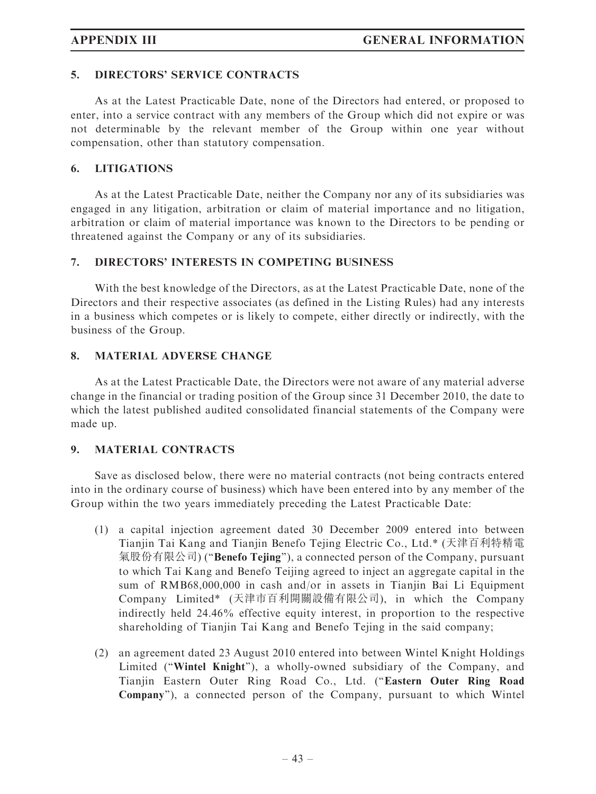### 5. DIRECTORS' SERVICE CONTRACTS

As at the Latest Practicable Date, none of the Directors had entered, or proposed to enter, into a service contract with any members of the Group which did not expire or was not determinable by the relevant member of the Group within one year without compensation, other than statutory compensation.

### 6. LITIGATIONS

As at the Latest Practicable Date, neither the Company nor any of its subsidiaries was engaged in any litigation, arbitration or claim of material importance and no litigation, arbitration or claim of material importance was known to the Directors to be pending or threatened against the Company or any of its subsidiaries.

## 7. DIRECTORS' INTERESTS IN COMPETING BUSINESS

With the best knowledge of the Directors, as at the Latest Practicable Date, none of the Directors and their respective associates (as defined in the Listing Rules) had any interests in a business which competes or is likely to compete, either directly or indirectly, with the business of the Group.

## 8. MATERIAL ADVERSE CHANGE

As at the Latest Practicable Date, the Directors were not aware of any material adverse change in the financial or trading position of the Group since 31 December 2010, the date to which the latest published audited consolidated financial statements of the Company were made up.

## 9. MATERIAL CONTRACTS

Save as disclosed below, there were no material contracts (not being contracts entered into in the ordinary course of business) which have been entered into by any member of the Group within the two years immediately preceding the Latest Practicable Date:

- (1) a capital injection agreement dated 30 December 2009 entered into between Tianjin Tai Kang and Tianjin Benefo Tejing Electric Co., Ltd.\* (天津百利特精電 氣股份有限公司) ("**Benefo Tejing**"), a connected person of the Company, pursuant to which Tai Kang and Benefo Teijing agreed to inject an aggregate capital in the sum of RMB68,000,000 in cash and/or in assets in Tianjin Bai Li Equipment Company Limited\* (天津市百利開關設備有限公司), in which the Company indirectly held 24.46% effective equity interest, in proportion to the respective shareholding of Tianjin Tai Kang and Benefo Tejing in the said company;
- (2) an agreement dated 23 August 2010 entered into between Wintel Knight Holdings Limited ("Wintel Knight"), a wholly-owned subsidiary of the Company, and Tianjin Eastern Outer Ring Road Co., Ltd. ("Eastern Outer Ring Road Company''), a connected person of the Company, pursuant to which Wintel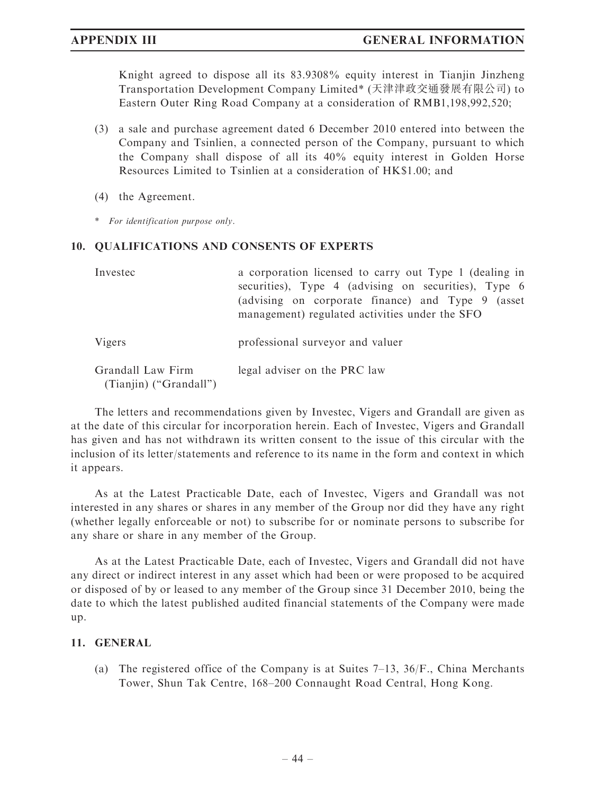Knight agreed to dispose all its 83.9308% equity interest in Tianjin Jinzheng Transportation Development Company Limited\* (天津津政交通發展有限公司) to Eastern Outer Ring Road Company at a consideration of RMB1,198,992,520;

- (3) a sale and purchase agreement dated 6 December 2010 entered into between the Company and Tsinlien, a connected person of the Company, pursuant to which the Company shall dispose of all its 40% equity interest in Golden Horse Resources Limited to Tsinlien at a consideration of HK\$1.00; and
- (4) the Agreement.
- \* For identification purpose only.

### 10. QUALIFICATIONS AND CONSENTS OF EXPERTS

| Investec                                    | a corporation licensed to carry out Type 1 (dealing in<br>securities), Type 4 (advising on securities), Type 6<br>(advising on corporate finance) and Type 9 (asset<br>management) regulated activities under the SFO |
|---------------------------------------------|-----------------------------------------------------------------------------------------------------------------------------------------------------------------------------------------------------------------------|
| Vigers                                      | professional surveyor and valuer                                                                                                                                                                                      |
| Grandall Law Firm<br>(Tianjin) ("Grandall") | legal adviser on the PRC law                                                                                                                                                                                          |

The letters and recommendations given by Investec, Vigers and Grandall are given as at the date of this circular for incorporation herein. Each of Investec, Vigers and Grandall has given and has not withdrawn its written consent to the issue of this circular with the inclusion of its letter/statements and reference to its name in the form and context in which it appears.

As at the Latest Practicable Date, each of Investec, Vigers and Grandall was not interested in any shares or shares in any member of the Group nor did they have any right (whether legally enforceable or not) to subscribe for or nominate persons to subscribe for any share or share in any member of the Group.

As at the Latest Practicable Date, each of Investec, Vigers and Grandall did not have any direct or indirect interest in any asset which had been or were proposed to be acquired or disposed of by or leased to any member of the Group since 31 December 2010, being the date to which the latest published audited financial statements of the Company were made up.

### 11. GENERAL

(a) The registered office of the Company is at Suites  $7-13$ ,  $36/F$ ., China Merchants Tower, Shun Tak Centre, 168–200 Connaught Road Central, Hong Kong.